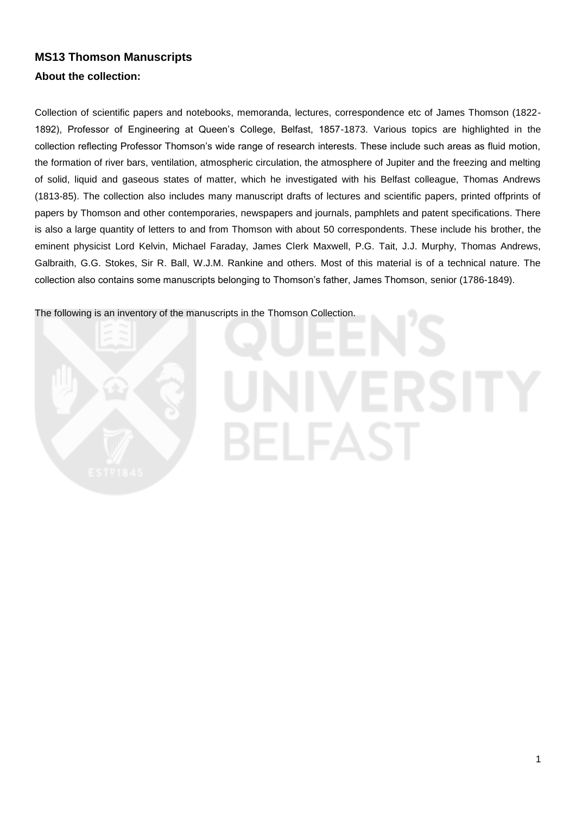# **MS13 Thomson Manuscripts About the collection:**

Collection of scientific papers and notebooks, memoranda, lectures, correspondence etc of James Thomson (1822- 1892), Professor of Engineering at Queen's College, Belfast, 1857-1873. Various topics are highlighted in the collection reflecting Professor Thomson's wide range of research interests. These include such areas as fluid motion, the formation of river bars, ventilation, atmospheric circulation, the atmosphere of Jupiter and the freezing and melting of solid, liquid and gaseous states of matter, which he investigated with his Belfast colleague, Thomas Andrews (1813-85). The collection also includes many manuscript drafts of lectures and scientific papers, printed offprints of papers by Thomson and other contemporaries, newspapers and journals, pamphlets and patent specifications. There is also a large quantity of letters to and from Thomson with about 50 correspondents. These include his brother, the eminent physicist Lord Kelvin, Michael Faraday, James Clerk Maxwell, P.G. Tait, J.J. Murphy, Thomas Andrews, Galbraith, G.G. Stokes, Sir R. Ball, W.J.M. Rankine and others. Most of this material is of a technical nature. The collection also contains some manuscripts belonging to Thomson's father, James Thomson, senior (1786-1849).

The following is an inventory of the manuscripts in the Thomson Collection.

# 8EL EZ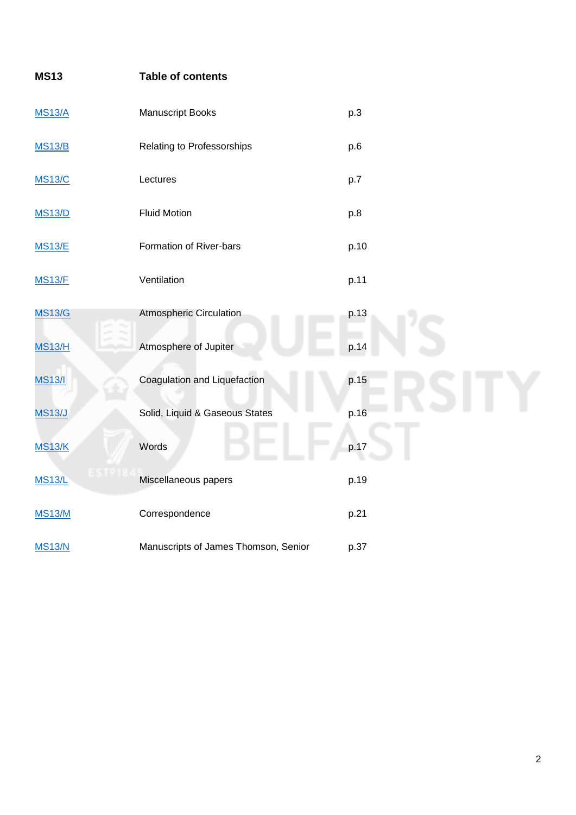| <b>MS13</b>   | <b>Table of contents</b>             |      |
|---------------|--------------------------------------|------|
| <b>MS13/A</b> | Manuscript Books                     | p.3  |
| <b>MS13/B</b> | Relating to Professorships           | p.6  |
| <b>MS13/C</b> | Lectures                             | p.7  |
| <b>MS13/D</b> | <b>Fluid Motion</b>                  | p.8  |
| <b>MS13/E</b> | Formation of River-bars              | p.10 |
| <b>MS13/F</b> | Ventilation                          | p.11 |
| <b>MS13/G</b> | Atmospheric Circulation              | p.13 |
| <b>MS13/H</b> | Atmosphere of Jupiter                | p.14 |
| <b>MS13/I</b> | Coagulation and Liquefaction         | p.15 |
| <b>MS13/J</b> | Solid, Liquid & Gaseous States       | p.16 |
| <b>MS13/K</b> | Words                                | p.17 |
| <b>MS13/L</b> | Miscellaneous papers                 | p.19 |
| <b>MS13/M</b> | Correspondence                       | p.21 |
| <b>MS13/N</b> | Manuscripts of James Thomson, Senior | p.37 |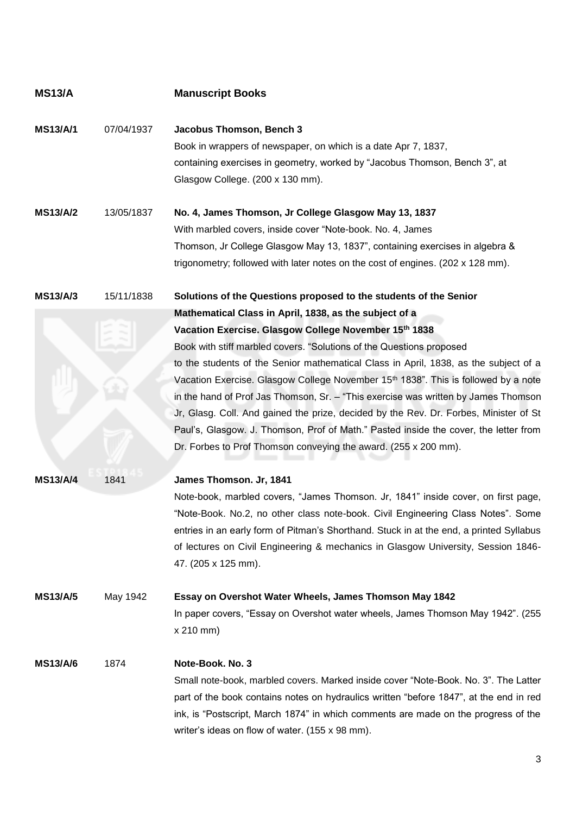| <b>MS13/A</b>                      |                  | <b>Manuscript Books</b>                                                                                                                                                                                                                                                                                                                                                                                                                                                                                                                                                                                                                                                                                                                                                              |
|------------------------------------|------------------|--------------------------------------------------------------------------------------------------------------------------------------------------------------------------------------------------------------------------------------------------------------------------------------------------------------------------------------------------------------------------------------------------------------------------------------------------------------------------------------------------------------------------------------------------------------------------------------------------------------------------------------------------------------------------------------------------------------------------------------------------------------------------------------|
| <b>MS13/A/1</b>                    | 07/04/1937       | Jacobus Thomson, Bench 3<br>Book in wrappers of newspaper, on which is a date Apr 7, 1837,<br>containing exercises in geometry, worked by "Jacobus Thomson, Bench 3", at<br>Glasgow College. (200 x 130 mm).                                                                                                                                                                                                                                                                                                                                                                                                                                                                                                                                                                         |
| <b>MS13/A/2</b>                    | 13/05/1837       | No. 4, James Thomson, Jr College Glasgow May 13, 1837<br>With marbled covers, inside cover "Note-book. No. 4, James<br>Thomson, Jr College Glasgow May 13, 1837", containing exercises in algebra &<br>trigonometry; followed with later notes on the cost of engines. (202 x 128 mm).                                                                                                                                                                                                                                                                                                                                                                                                                                                                                               |
| <b>MS13/A/3</b>                    | 15/11/1838       | Solutions of the Questions proposed to the students of the Senior<br>Mathematical Class in April, 1838, as the subject of a<br>Vacation Exercise. Glasgow College November 15th 1838<br>Book with stiff marbled covers. "Solutions of the Questions proposed<br>to the students of the Senior mathematical Class in April, 1838, as the subject of a<br>Vacation Exercise. Glasgow College November 15th 1838". This is followed by a note<br>in the hand of Prof Jas Thomson, Sr. - "This exercise was written by James Thomson<br>Jr, Glasg. Coll. And gained the prize, decided by the Rev. Dr. Forbes, Minister of St<br>Paul's, Glasgow. J. Thomson, Prof of Math." Pasted inside the cover, the letter from<br>Dr. Forbes to Prof Thomson conveying the award. (255 x 200 mm). |
| <b>MS13/A/4</b><br><b>MS13/A/5</b> | 1841<br>May 1942 | James Thomson. Jr, 1841<br>Note-book, marbled covers, "James Thomson. Jr, 1841" inside cover, on first page,<br>"Note-Book. No.2, no other class note-book. Civil Engineering Class Notes". Some<br>entries in an early form of Pitman's Shorthand. Stuck in at the end, a printed Syllabus<br>of lectures on Civil Engineering & mechanics in Glasgow University, Session 1846-<br>47. (205 x 125 mm).<br>Essay on Overshot Water Wheels, James Thomson May 1842                                                                                                                                                                                                                                                                                                                    |
| <b>MS13/A/6</b>                    | 1874             | In paper covers, "Essay on Overshot water wheels, James Thomson May 1942". (255)<br>x 210 mm)<br>Note-Book. No. 3<br>Small note-book, marbled covers. Marked inside cover "Note-Book. No. 3". The Latter<br>part of the book contains notes on hydraulics written "before 1847", at the end in red<br>ink, is "Postscript, March 1874" in which comments are made on the progress of the<br>writer's ideas on flow of water. (155 x 98 mm).                                                                                                                                                                                                                                                                                                                                          |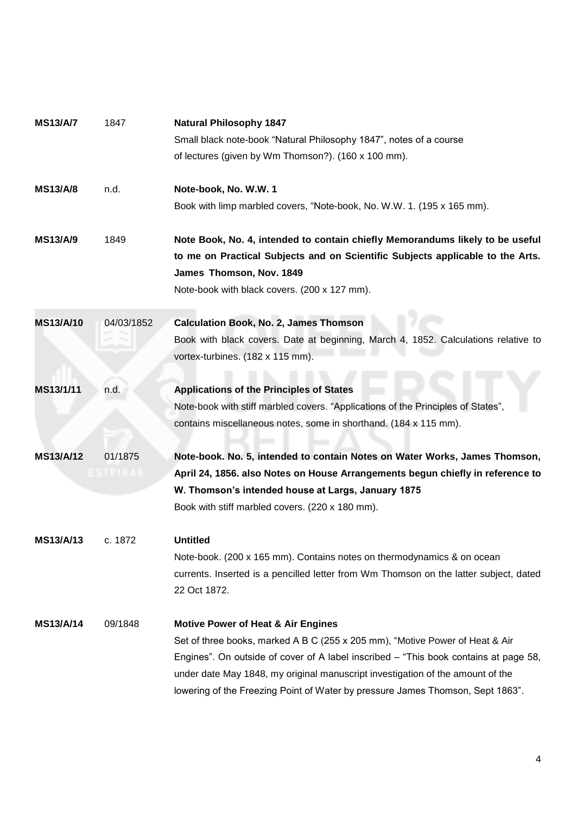| <b>MS13/A/7</b>  | 1847       | <b>Natural Philosophy 1847</b>                                                        |
|------------------|------------|---------------------------------------------------------------------------------------|
|                  |            | Small black note-book "Natural Philosophy 1847", notes of a course                    |
|                  |            | of lectures (given by Wm Thomson?). (160 x 100 mm).                                   |
| <b>MS13/A/8</b>  | n.d.       | Note-book, No. W.W. 1                                                                 |
|                  |            | Book with limp marbled covers, "Note-book, No. W.W. 1. (195 x 165 mm).                |
| <b>MS13/A/9</b>  | 1849       | Note Book, No. 4, intended to contain chiefly Memorandums likely to be useful         |
|                  |            | to me on Practical Subjects and on Scientific Subjects applicable to the Arts.        |
|                  |            | James Thomson, Nov. 1849                                                              |
|                  |            | Note-book with black covers. (200 x 127 mm).                                          |
| <b>MS13/A/10</b> | 04/03/1852 | <b>Calculation Book, No. 2, James Thomson</b>                                         |
|                  |            | Book with black covers. Date at beginning, March 4, 1852. Calculations relative to    |
|                  |            | vortex-turbines. (182 x 115 mm).                                                      |
| MS13/1/11        | n.d.       | <b>Applications of the Principles of States</b>                                       |
|                  |            | Note-book with stiff marbled covers. "Applications of the Principles of States",      |
|                  |            | contains miscellaneous notes, some in shorthand. (184 x 115 mm).                      |
|                  |            |                                                                                       |
| <b>MS13/A/12</b> | 01/1875    | Note-book. No. 5, intended to contain Notes on Water Works, James Thomson,            |
|                  | TP1845     | April 24, 1856. also Notes on House Arrangements begun chiefly in reference to        |
|                  |            | W. Thomson's intended house at Largs, January 1875                                    |
|                  |            | Book with stiff marbled covers. (220 x 180 mm).                                       |
| MS13/A/13        | c. 1872    | <b>Untitled</b>                                                                       |
|                  |            | Note-book. (200 x 165 mm). Contains notes on thermodynamics & on ocean                |
|                  |            | currents. Inserted is a pencilled letter from Wm Thomson on the latter subject, dated |
|                  |            | 22 Oct 1872.                                                                          |
| <b>MS13/A/14</b> | 09/1848    | <b>Motive Power of Heat &amp; Air Engines</b>                                         |
|                  |            | Set of three books, marked A B C (255 x 205 mm), "Motive Power of Heat & Air          |
|                  |            | Engines". On outside of cover of A label inscribed – "This book contains at page 58,  |
|                  |            | under date May 1848, my original manuscript investigation of the amount of the        |
|                  |            | lowering of the Freezing Point of Water by pressure James Thomson, Sept 1863".        |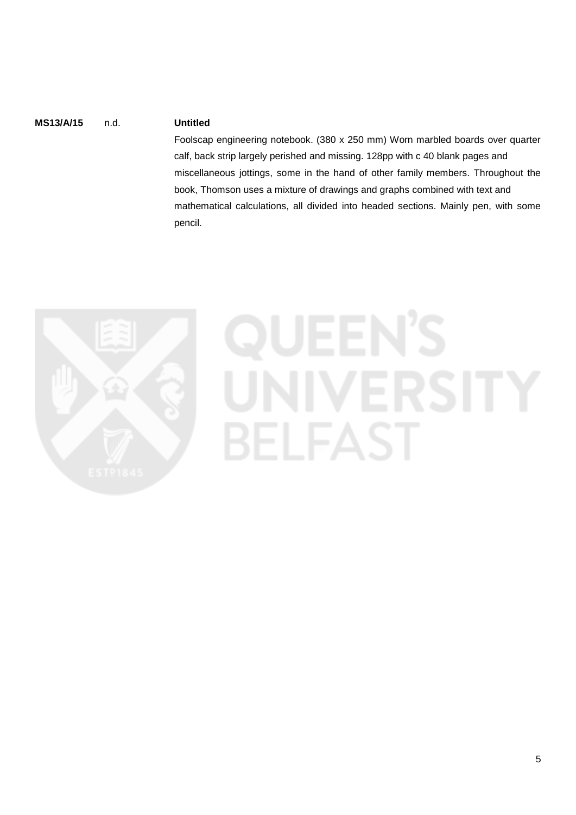# **MS13/A/15** n.d. **Untitled**

Foolscap engineering notebook. (380 x 250 mm) Worn marbled boards over quarter calf, back strip largely perished and missing. 128pp with c 40 blank pages and miscellaneous jottings, some in the hand of other family members. Throughout the book, Thomson uses a mixture of drawings and graphs combined with text and mathematical calculations, all divided into headed sections. Mainly pen, with some pencil.



# **ERSITY BELFAST**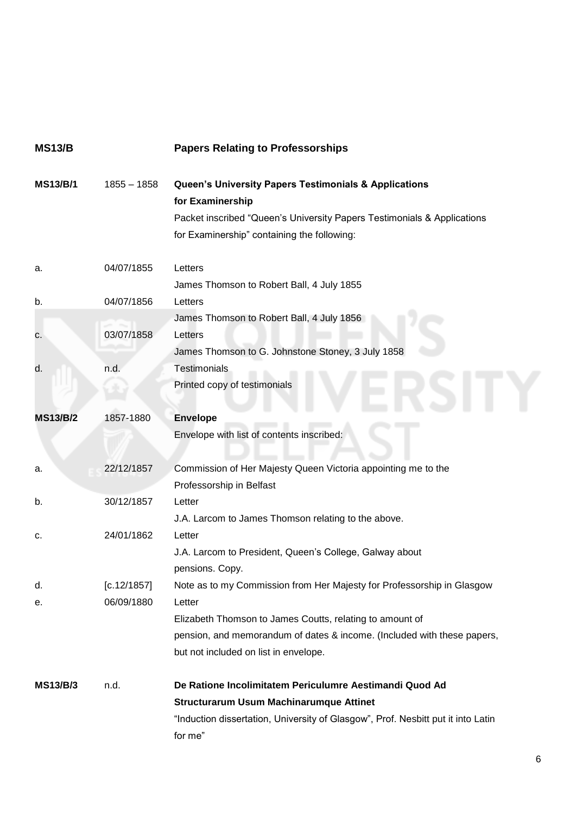<span id="page-5-0"></span>

| <b>MS13/B</b>   |               | <b>Papers Relating to Professorships</b>                                                                                                                                                                       |
|-----------------|---------------|----------------------------------------------------------------------------------------------------------------------------------------------------------------------------------------------------------------|
| <b>MS13/B/1</b> | $1855 - 1858$ | <b>Queen's University Papers Testimonials &amp; Applications</b><br>for Examinership<br>Packet inscribed "Queen's University Papers Testimonials & Applications<br>for Examinership" containing the following: |
| а.              | 04/07/1855    | Letters<br>James Thomson to Robert Ball, 4 July 1855                                                                                                                                                           |
| b.              | 04/07/1856    | Letters                                                                                                                                                                                                        |
| c.              | 03/07/1858    | James Thomson to Robert Ball, 4 July 1856<br>Letters<br>James Thomson to G. Johnstone Stoney, 3 July 1858                                                                                                      |
| d.              | n.d.          | <b>Testimonials</b><br>Printed copy of testimonials                                                                                                                                                            |
| <b>MS13/B/2</b> | 1857-1880     | <b>Envelope</b><br>Envelope with list of contents inscribed:                                                                                                                                                   |
| а.              | 22/12/1857    | Commission of Her Majesty Queen Victoria appointing me to the<br>Professorship in Belfast                                                                                                                      |
| b.              | 30/12/1857    | Letter<br>J.A. Larcom to James Thomson relating to the above.                                                                                                                                                  |
| c.              | 24/01/1862    | Letter<br>J.A. Larcom to President, Queen's College, Galway about<br>pensions. Copy.                                                                                                                           |
| d.              | [c.12/1857]   | Note as to my Commission from Her Majesty for Professorship in Glasgow                                                                                                                                         |
| е.              | 06/09/1880    | Letter<br>Elizabeth Thomson to James Coutts, relating to amount of<br>pension, and memorandum of dates & income. (Included with these papers,<br>but not included on list in envelope.                         |
| <b>MS13/B/3</b> | n.d.          | De Ratione Incolimitatem Periculumre Aestimandi Quod Ad                                                                                                                                                        |
|                 |               | <b>Structurarum Usum Machinarumque Attinet</b>                                                                                                                                                                 |
|                 |               | "Induction dissertation, University of Glasgow", Prof. Nesbitt put it into Latin<br>for me"                                                                                                                    |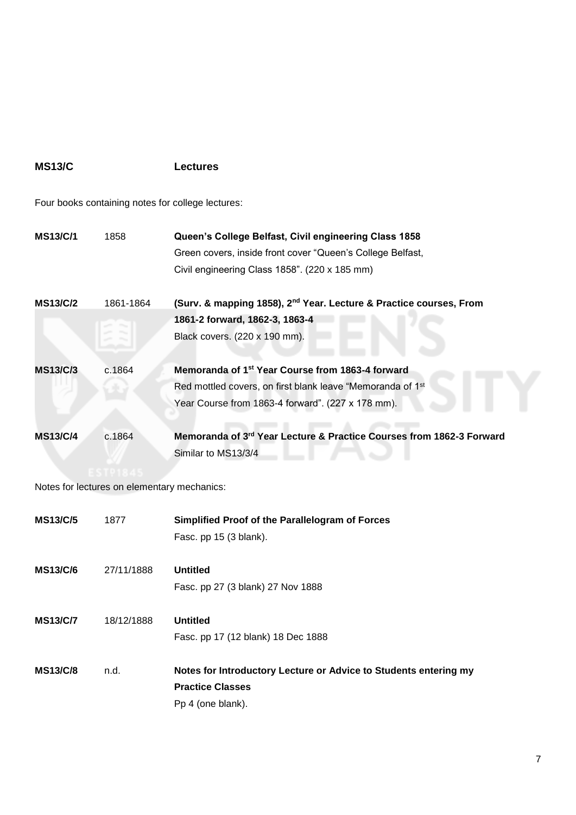# <span id="page-6-0"></span>**MS13/C Lectures**

Four books containing notes for college lectures:

| <b>MS13/C/1</b> | 1858                                        | Queen's College Belfast, Civil engineering Class 1858<br>Green covers, inside front cover "Queen's College Belfast,<br>Civil engineering Class 1858". (220 x 185 mm)            |
|-----------------|---------------------------------------------|---------------------------------------------------------------------------------------------------------------------------------------------------------------------------------|
| <b>MS13/C/2</b> | 1861-1864                                   | (Surv. & mapping 1858), 2 <sup>nd</sup> Year. Lecture & Practice courses, From<br>1861-2 forward, 1862-3, 1863-4<br>Black covers. (220 x 190 mm).                               |
| <b>MS13/C/3</b> | c.1864                                      | Memoranda of 1 <sup>st</sup> Year Course from 1863-4 forward<br>Red mottled covers, on first blank leave "Memoranda of 1st<br>Year Course from 1863-4 forward". (227 x 178 mm). |
| <b>MS13/C/4</b> | c.1864                                      | Memoranda of 3rd Year Lecture & Practice Courses from 1862-3 Forward<br>Similar to MS13/3/4                                                                                     |
|                 | Notes for lectures on elementary mechanics: |                                                                                                                                                                                 |
| <b>MS13/C/5</b> | 1877                                        | Simplified Proof of the Parallelogram of Forces<br>Fasc. pp 15 (3 blank).                                                                                                       |
| <b>MS13/C/6</b> | 27/11/1888                                  | <b>Untitled</b><br>Fasc. pp 27 (3 blank) 27 Nov 1888                                                                                                                            |
| <b>MS13/C/7</b> | 18/12/1888                                  | <b>Untitled</b><br>Fasc. pp 17 (12 blank) 18 Dec 1888                                                                                                                           |
| <b>MS13/C/8</b> | n.d.                                        | Notes for Introductory Lecture or Advice to Students entering my<br><b>Practice Classes</b><br>Pp 4 (one blank).                                                                |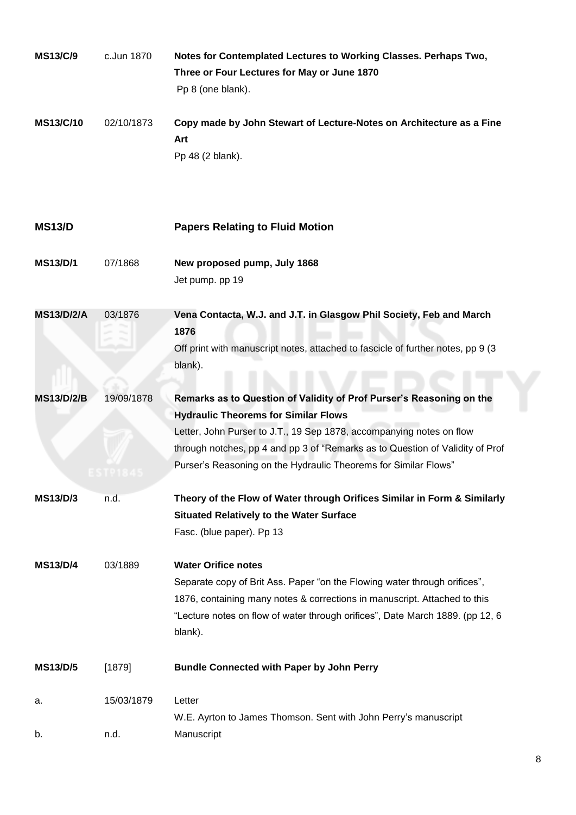<span id="page-7-0"></span>

| <b>MS13/C/9</b>   | c.Jun 1870 | Notes for Contemplated Lectures to Working Classes. Perhaps Two,<br>Three or Four Lectures for May or June 1870<br>Pp 8 (one blank).                                                                                                                                                                                                            |
|-------------------|------------|-------------------------------------------------------------------------------------------------------------------------------------------------------------------------------------------------------------------------------------------------------------------------------------------------------------------------------------------------|
| <b>MS13/C/10</b>  | 02/10/1873 | Copy made by John Stewart of Lecture-Notes on Architecture as a Fine<br>Art<br>Pp 48 (2 blank).                                                                                                                                                                                                                                                 |
| <b>MS13/D</b>     |            | <b>Papers Relating to Fluid Motion</b>                                                                                                                                                                                                                                                                                                          |
| <b>MS13/D/1</b>   | 07/1868    | New proposed pump, July 1868<br>Jet pump. pp 19                                                                                                                                                                                                                                                                                                 |
| <b>MS13/D/2/A</b> | 03/1876    | Vena Contacta, W.J. and J.T. in Glasgow Phil Society, Feb and March<br>1876<br>Off print with manuscript notes, attached to fascicle of further notes, pp 9 (3)<br>blank).                                                                                                                                                                      |
| <b>MS13/D/2/B</b> | 19/09/1878 | Remarks as to Question of Validity of Prof Purser's Reasoning on the<br><b>Hydraulic Theorems for Similar Flows</b><br>Letter, John Purser to J.T., 19 Sep 1878, accompanying notes on flow<br>through notches, pp 4 and pp 3 of "Remarks as to Question of Validity of Prof<br>Purser's Reasoning on the Hydraulic Theorems for Similar Flows" |
| <b>MS13/D/3</b>   | n.d.       | Theory of the Flow of Water through Orifices Similar in Form & Similarly<br><b>Situated Relatively to the Water Surface</b><br>Fasc. (blue paper). Pp 13                                                                                                                                                                                        |
| <b>MS13/D/4</b>   | 03/1889    | <b>Water Orifice notes</b><br>Separate copy of Brit Ass. Paper "on the Flowing water through orifices",<br>1876, containing many notes & corrections in manuscript. Attached to this<br>"Lecture notes on flow of water through orifices", Date March 1889. (pp 12, 6<br>blank).                                                                |
| <b>MS13/D/5</b>   | [1879]     | <b>Bundle Connected with Paper by John Perry</b>                                                                                                                                                                                                                                                                                                |
| a.                | 15/03/1879 | Letter<br>W.E. Ayrton to James Thomson. Sent with John Perry's manuscript                                                                                                                                                                                                                                                                       |
| b.                | n.d.       | Manuscript                                                                                                                                                                                                                                                                                                                                      |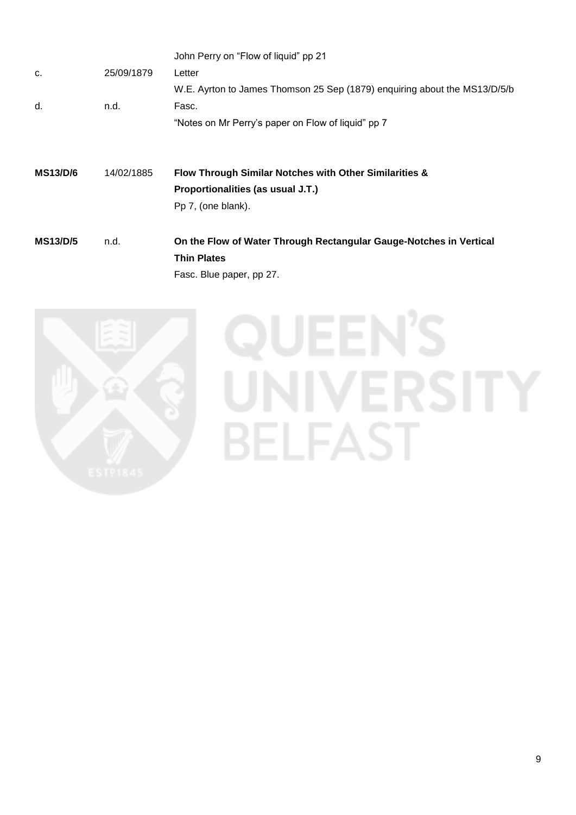|                 |            | John Perry on "Flow of liquid" pp 21                                                        |
|-----------------|------------|---------------------------------------------------------------------------------------------|
| C.              | 25/09/1879 | Letter                                                                                      |
|                 |            | W.E. Ayrton to James Thomson 25 Sep (1879) enquiring about the MS13/D/5/b                   |
| d.              | n.d.       | Fasc.                                                                                       |
|                 |            | "Notes on Mr Perry's paper on Flow of liquid" pp 7                                          |
| <b>MS13/D/6</b> | 14/02/1885 | Flow Through Similar Notches with Other Similarities &<br>Proportionalities (as usual J.T.) |
|                 |            | Pp 7, (one blank).                                                                          |

Fasc. Blue paper, pp 27.



**QUEEN'S** JNIVERSITY **BELFAST**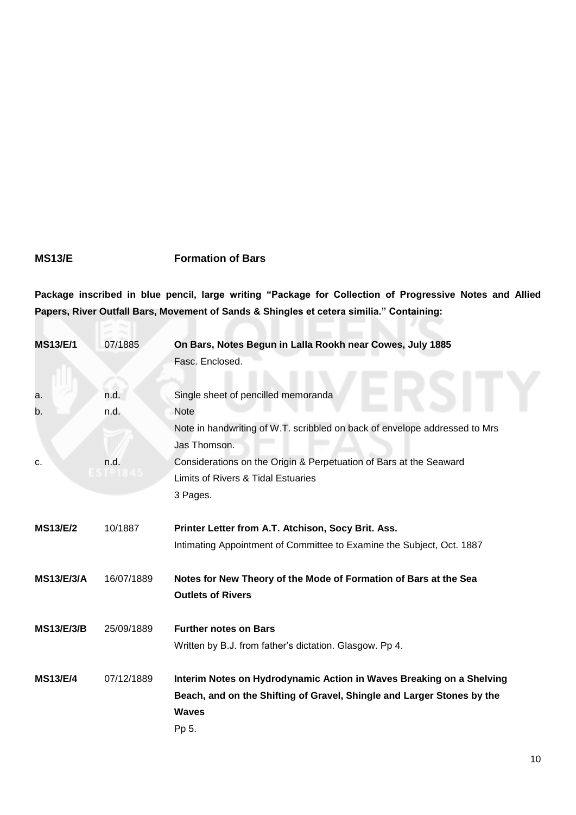# <span id="page-9-0"></span>**MS13/E Formation of Bars**

**Package inscribed in blue pencil, large writing "Package for Collection of Progressive Notes and Allied Papers, River Outfall Bars, Movement of Sands & Shingles et cetera similia." Containing:**

| <b>MS13/E/1</b>   | 07/1885    | On Bars, Notes Begun in Lalla Rookh near Cowes, July 1885                  |
|-------------------|------------|----------------------------------------------------------------------------|
|                   |            | Fasc. Enclosed.                                                            |
|                   |            |                                                                            |
| a.                | n.d.       | Single sheet of pencilled memoranda                                        |
| b.                | n.d.       | <b>Note</b>                                                                |
|                   |            | Note in handwriting of W.T. scribbled on back of envelope addressed to Mrs |
|                   |            | Jas Thomson.                                                               |
| c.                | n.d.       | Considerations on the Origin & Perpetuation of Bars at the Seaward         |
|                   |            | Limits of Rivers & Tidal Estuaries                                         |
|                   |            | 3 Pages.                                                                   |
|                   |            |                                                                            |
| <b>MS13/E/2</b>   | 10/1887    | Printer Letter from A.T. Atchison, Socy Brit. Ass.                         |
|                   |            | Intimating Appointment of Committee to Examine the Subject, Oct. 1887      |
| <b>MS13/E/3/A</b> | 16/07/1889 | Notes for New Theory of the Mode of Formation of Bars at the Sea           |
|                   |            | <b>Outlets of Rivers</b>                                                   |
|                   |            |                                                                            |
| <b>MS13/E/3/B</b> | 25/09/1889 | <b>Further notes on Bars</b>                                               |
|                   |            | Written by B.J. from father's dictation. Glasgow. Pp 4.                    |
| <b>MS13/E/4</b>   | 07/12/1889 | Interim Notes on Hydrodynamic Action in Waves Breaking on a Shelving       |
|                   |            | Beach, and on the Shifting of Gravel, Shingle and Larger Stones by the     |
|                   |            | <b>Waves</b>                                                               |
|                   |            | Pp 5.                                                                      |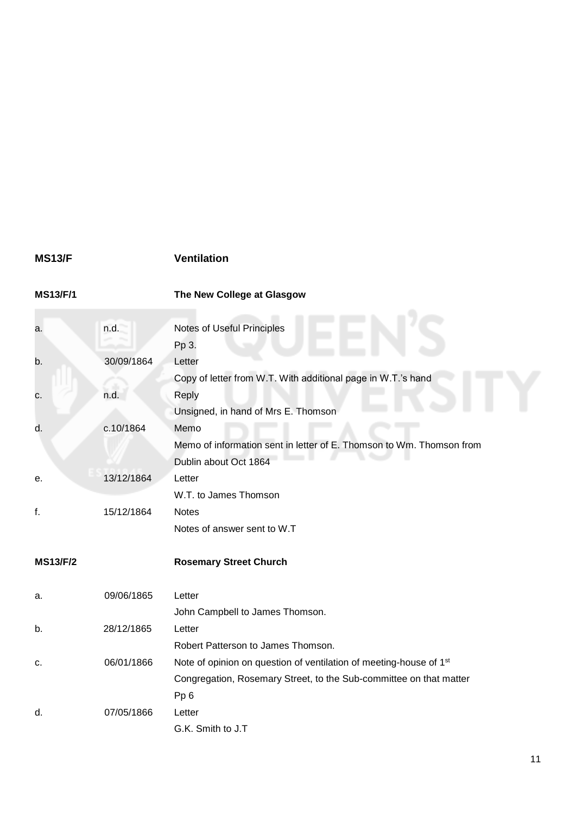# <span id="page-10-0"></span>**MS13/F Ventilation**

| <b>MS13/F/1</b> |  |  |
|-----------------|--|--|
|                 |  |  |

**MS13/F/1 The New College at Glasgow**

| a.              | n.d.       | Notes of Useful Principles                                                     |
|-----------------|------------|--------------------------------------------------------------------------------|
|                 |            | Pp 3.                                                                          |
| b.              | 30/09/1864 | Letter                                                                         |
|                 |            | Copy of letter from W.T. With additional page in W.T.'s hand                   |
| c.              | n.d.       | Reply                                                                          |
|                 |            | Unsigned, in hand of Mrs E. Thomson                                            |
| d.              | c.10/1864  | Memo                                                                           |
|                 |            | Memo of information sent in letter of E. Thomson to Wm. Thomson from           |
|                 |            | Dublin about Oct 1864                                                          |
| е.              | 13/12/1864 | Letter                                                                         |
|                 |            | W.T. to James Thomson                                                          |
| f.              | 15/12/1864 | <b>Notes</b>                                                                   |
|                 |            | Notes of answer sent to W.T                                                    |
| <b>MS13/F/2</b> |            | <b>Rosemary Street Church</b>                                                  |
| a.              | 09/06/1865 | Letter                                                                         |
|                 |            | John Campbell to James Thomson.                                                |
| b.              | 28/12/1865 | Letter                                                                         |
|                 |            | Robert Patterson to James Thomson.                                             |
| c.              | 06/01/1866 | Note of opinion on question of ventilation of meeting-house of 1 <sup>st</sup> |
|                 |            | Congregation, Rosemary Street, to the Sub-committee on that matter             |
|                 |            | Pp <sub>6</sub>                                                                |
| d.              | 07/05/1866 | Letter                                                                         |
|                 |            | G.K. Smith to J.T                                                              |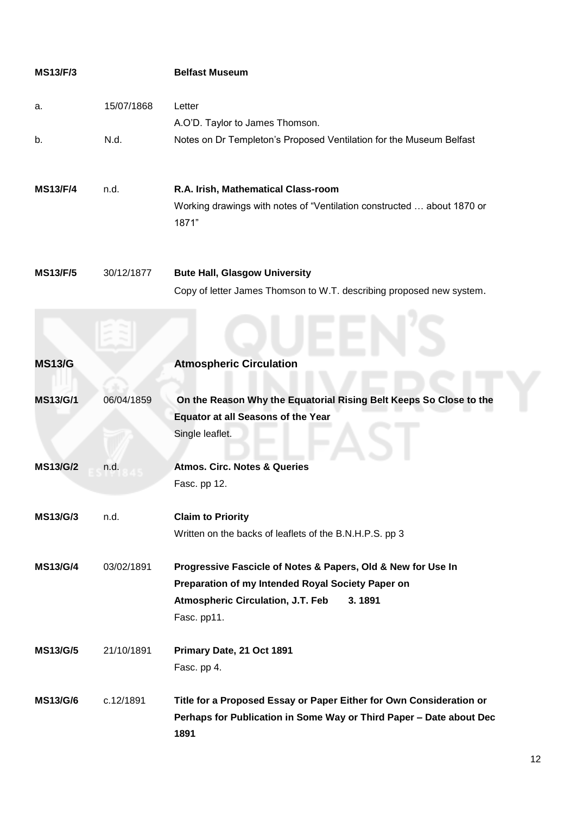<span id="page-11-0"></span>

| <b>MS13/F/3</b> |            | <b>Belfast Museum</b>                                                                                                                                                                  |
|-----------------|------------|----------------------------------------------------------------------------------------------------------------------------------------------------------------------------------------|
| a.              | 15/07/1868 | Letter                                                                                                                                                                                 |
|                 |            | A.O'D. Taylor to James Thomson.                                                                                                                                                        |
| b.              | N.d.       | Notes on Dr Templeton's Proposed Ventilation for the Museum Belfast                                                                                                                    |
| <b>MS13/F/4</b> | n.d.       | R.A. Irish, Mathematical Class-room<br>Working drawings with notes of "Ventilation constructed  about 1870 or<br>1871"                                                                 |
| <b>MS13/F/5</b> | 30/12/1877 | <b>Bute Hall, Glasgow University</b><br>Copy of letter James Thomson to W.T. describing proposed new system.                                                                           |
| <b>MS13/G</b>   |            | <b>Atmospheric Circulation</b>                                                                                                                                                         |
| <b>MS13/G/1</b> | 06/04/1859 | On the Reason Why the Equatorial Rising Belt Keeps So Close to the<br><b>Equator at all Seasons of the Year</b><br>Single leaflet.                                                     |
| <b>MS13/G/2</b> | n.d.       | <b>Atmos. Circ. Notes &amp; Queries</b><br>Fasc. pp 12.                                                                                                                                |
| <b>MS13/G/3</b> | n.d.       | <b>Claim to Priority</b><br>Written on the backs of leaflets of the B.N.H.P.S. pp 3                                                                                                    |
| <b>MS13/G/4</b> | 03/02/1891 | Progressive Fascicle of Notes & Papers, Old & New for Use In<br>Preparation of my Intended Royal Society Paper on<br><b>Atmospheric Circulation, J.T. Feb</b><br>3.1891<br>Fasc. pp11. |
| <b>MS13/G/5</b> | 21/10/1891 | Primary Date, 21 Oct 1891<br>Fasc. pp 4.                                                                                                                                               |
| <b>MS13/G/6</b> | c.12/1891  | Title for a Proposed Essay or Paper Either for Own Consideration or<br>Perhaps for Publication in Some Way or Third Paper - Date about Dec<br>1891                                     |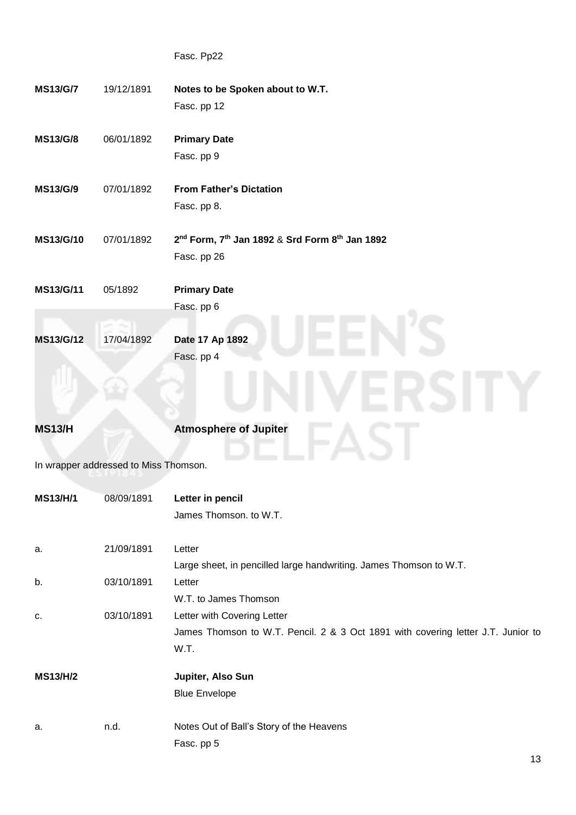Fasc. Pp22 **MS13/G/7** 19/12/1891 **Notes to be Spoken about to W.T.** Fasc. pp 12 **MS13/G/8** 06/01/1892 **Primary Date** Fasc. pp 9 **MS13/G/9** 07/01/1892 **From Father's Dictation** Fasc. pp 8. **MS13/G/10** 07/01/1892 **2 nd Form, 7th Jan 1892** & **Srd Form 8th Jan 1892** Fasc. pp 26 **MS13/G/11** 05/1892 **Primary Date** Fasc. pp 6 **MS13/G/12** 17/04/1892 **Date 17 Ap 1892** Fasc. pp 4 **MS13/H Atmosphere of Jupiter** In wrapper addressed to Miss Thomson. **MS13/H/1** 08/09/1891 **Letter in pencil** James Thomson. to W.T.

<span id="page-12-0"></span>

| a.              | 21/09/1891 | Letter                                                                           |
|-----------------|------------|----------------------------------------------------------------------------------|
|                 |            | Large sheet, in pencilled large handwriting. James Thomson to W.T.               |
| b.              | 03/10/1891 | Letter                                                                           |
|                 |            | W.T. to James Thomson                                                            |
| C.              | 03/10/1891 | Letter with Covering Letter                                                      |
|                 |            | James Thomson to W.T. Pencil. 2 & 3 Oct 1891 with covering letter J.T. Junior to |
|                 |            | W.T.                                                                             |
| <b>MS13/H/2</b> |            | Jupiter, Also Sun                                                                |
|                 |            | <b>Blue Envelope</b>                                                             |
|                 |            |                                                                                  |
| a.              | n.d.       | Notes Out of Ball's Story of the Heavens                                         |
|                 |            | Fasc. pp 5                                                                       |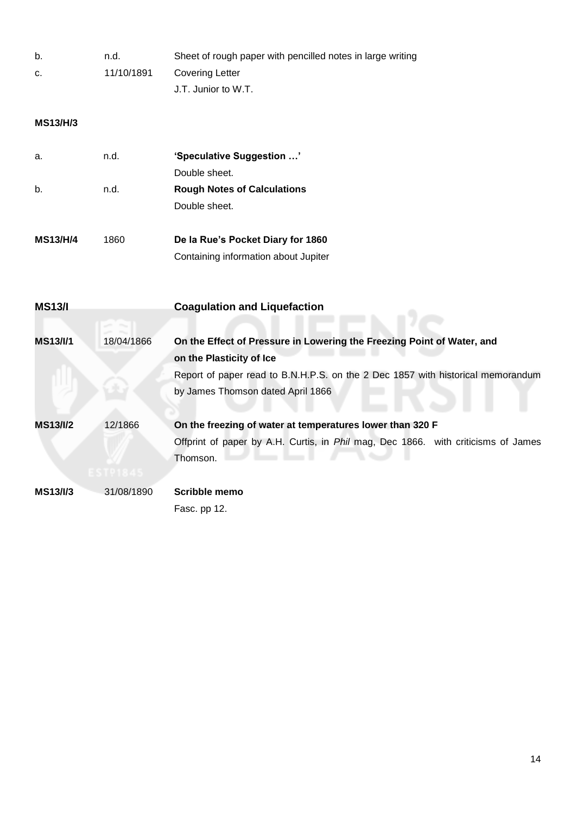| b. | n.d.       | Sheet of rough paper with pencilled notes in large writing |
|----|------------|------------------------------------------------------------|
| C. | 11/10/1891 | Covering Letter                                            |
|    |            | J.T. Junior to W.T.                                        |

# **MS13/H/3**

| a.              | n.d. | 'Speculative Suggestion '          |
|-----------------|------|------------------------------------|
|                 |      | Double sheet.                      |
| b.              | n.d. | <b>Rough Notes of Calculations</b> |
|                 |      | Double sheet.                      |
| <b>MS13/H/4</b> | 1860 | De la Rue's Pocket Diary for 1860  |

| Containing information about Jupiter |
|--------------------------------------|
|                                      |

<span id="page-13-0"></span>

| <b>MS13/I</b>   |                     | <b>Coagulation and Liquefaction</b>                                                                                                                               |
|-----------------|---------------------|-------------------------------------------------------------------------------------------------------------------------------------------------------------------|
| <b>MS13/I/1</b> | 18/04/1866          | On the Effect of Pressure in Lowering the Freezing Point of Water, and                                                                                            |
|                 |                     | on the Plasticity of Ice<br>Report of paper read to B.N.H.P.S. on the 2 Dec 1857 with historical memorandum<br>by James Thomson dated April 1866                  |
| <b>MS13/I/2</b> | 12/1866<br>ESTP1845 | On the freezing of water at temperatures lower than 320 F<br>Offprint of paper by A.H. Curtis, in <i>Phil</i> mag, Dec 1866. with criticisms of James<br>Thomson. |
| <b>MS13/I/3</b> | 31/08/1890          | Scribble memo<br>Fasc. pp 12.                                                                                                                                     |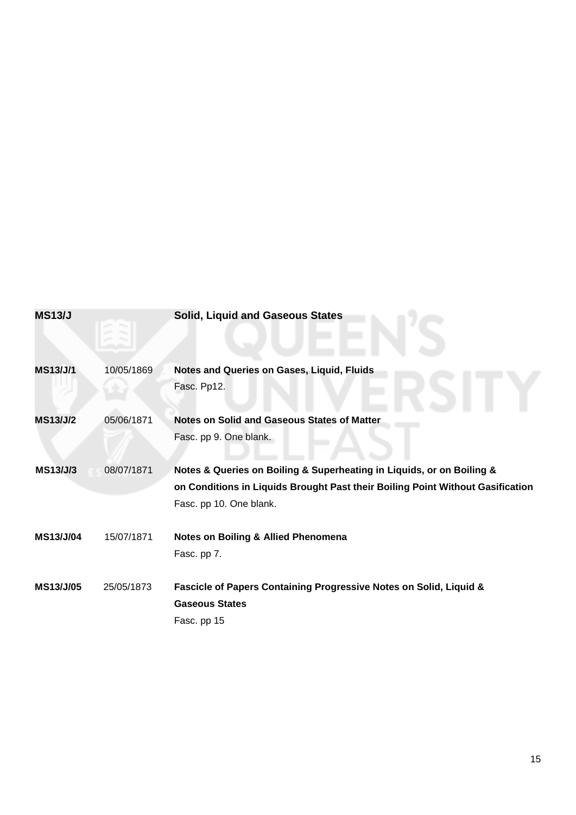<span id="page-14-0"></span>

| <b>MS13/J</b>    |            | <b>Solid, Liquid and Gaseous States</b>                                        |
|------------------|------------|--------------------------------------------------------------------------------|
| <b>MS13/J/1</b>  | 10/05/1869 | <b>Notes and Queries on Gases, Liquid, Fluids</b><br>Fasc. Pp12.               |
| <b>MS13/J/2</b>  | 05/06/1871 | Notes on Solid and Gaseous States of Matter                                    |
|                  |            | Fasc. pp 9. One blank.                                                         |
| <b>MS13/J/3</b>  | 08/07/1871 | Notes & Queries on Boiling & Superheating in Liquids, or on Boiling &          |
|                  |            | on Conditions in Liquids Brought Past their Boiling Point Without Gasification |
|                  |            | Fasc. pp 10. One blank.                                                        |
| MS13/J/04        | 15/07/1871 | <b>Notes on Boiling &amp; Allied Phenomena</b>                                 |
|                  |            | Fasc. pp 7.                                                                    |
| <b>MS13/J/05</b> | 25/05/1873 | Fascicle of Papers Containing Progressive Notes on Solid, Liquid &             |
|                  |            | <b>Gaseous States</b>                                                          |
|                  |            | Fasc. pp 15                                                                    |
|                  |            |                                                                                |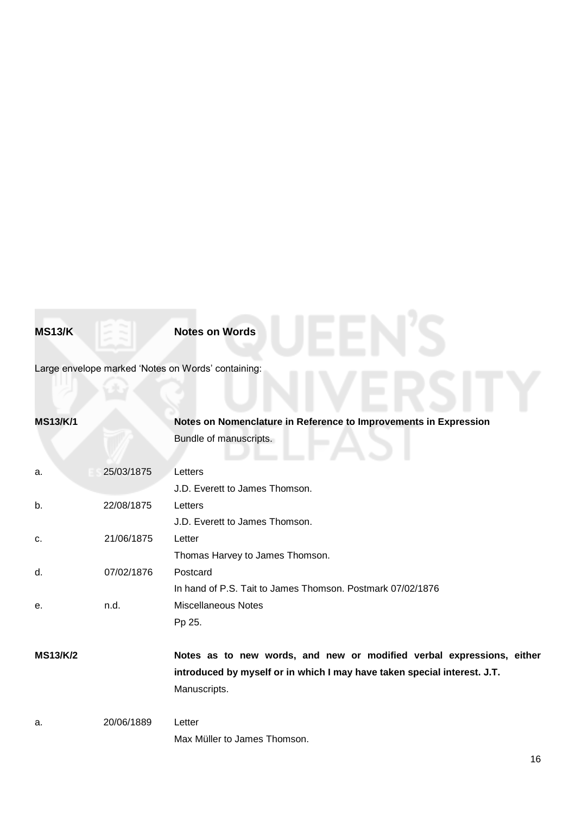<span id="page-15-0"></span>**MS13/K Notes on Words** 

Large envelope marked 'Notes on Words' containing:

# **MS13/K/1 Notes on Nomenclature in Reference to Improvements in Expression** Bundle of manuscripts.

| a.              | 25/03/1875 | Letters                                                                  |
|-----------------|------------|--------------------------------------------------------------------------|
|                 |            | J.D. Everett to James Thomson.                                           |
| b.              | 22/08/1875 | Letters                                                                  |
|                 |            | J.D. Everett to James Thomson.                                           |
| C.              | 21/06/1875 | Letter                                                                   |
|                 |            | Thomas Harvey to James Thomson.                                          |
| d.              | 07/02/1876 | Postcard                                                                 |
|                 |            | In hand of P.S. Tait to James Thomson. Postmark 07/02/1876               |
| е.              | n.d.       | <b>Miscellaneous Notes</b>                                               |
|                 |            | Pp 25.                                                                   |
|                 |            |                                                                          |
| <b>MS13/K/2</b> |            | Notes as to new words, and new or modified verbal expressions, either    |
|                 |            | introduced by myself or in which I may have taken special interest. J.T. |
|                 |            | Manuscripts.                                                             |
| a.              | 20/06/1889 | Letter                                                                   |
|                 |            | Max Müller to James Thomson.                                             |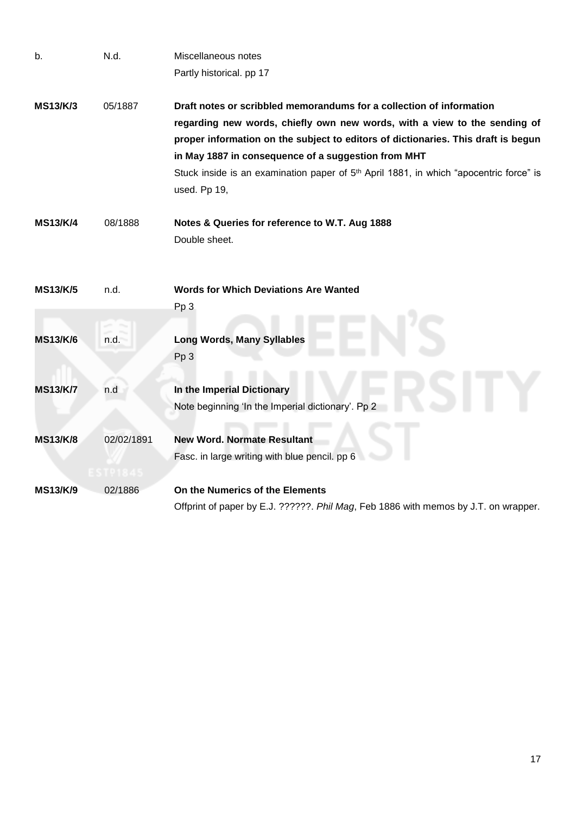| b.              | N.d.       | Miscellaneous notes                                                                                                |
|-----------------|------------|--------------------------------------------------------------------------------------------------------------------|
|                 |            | Partly historical. pp 17                                                                                           |
| <b>MS13/K/3</b> | 05/1887    | Draft notes or scribbled memorandums for a collection of information                                               |
|                 |            | regarding new words, chiefly own new words, with a view to the sending of                                          |
|                 |            | proper information on the subject to editors of dictionaries. This draft is begun                                  |
|                 |            | in May 1887 in consequence of a suggestion from MHT                                                                |
|                 |            | Stuck inside is an examination paper of 5 <sup>th</sup> April 1881, in which "apocentric force" is<br>used. Pp 19, |
| <b>MS13/K/4</b> | 08/1888    | Notes & Queries for reference to W.T. Aug 1888                                                                     |
|                 |            | Double sheet.                                                                                                      |
|                 |            |                                                                                                                    |
| <b>MS13/K/5</b> | n.d.       | <b>Words for Which Deviations Are Wanted</b>                                                                       |
|                 |            | Pp <sub>3</sub>                                                                                                    |
|                 |            |                                                                                                                    |
| <b>MS13/K/6</b> | n.d.       | <b>Long Words, Many Syllables</b>                                                                                  |
|                 |            | Pp <sub>3</sub>                                                                                                    |
|                 |            |                                                                                                                    |
| <b>MS13/K/7</b> | n.d        | In the Imperial Dictionary                                                                                         |
|                 |            | Note beginning 'In the Imperial dictionary'. Pp 2                                                                  |
| <b>MS13/K/8</b> | 02/02/1891 | <b>New Word. Normate Resultant</b>                                                                                 |
|                 |            | Fasc. in large writing with blue pencil. pp 6                                                                      |
|                 | 191845     |                                                                                                                    |
| <b>MS13/K/9</b> | 02/1886    | On the Numerics of the Elements                                                                                    |
|                 |            | Offprint of paper by E.J. ??????. Phil Mag, Feb 1886 with memos by J.T. on wrapper.                                |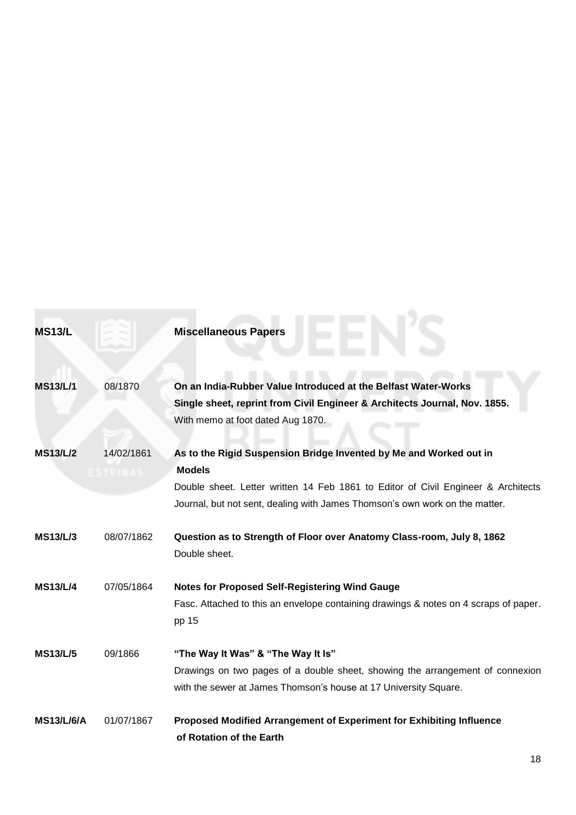<span id="page-17-0"></span>

| <b>MS13/L</b>     |                       | <b>Miscellaneous Papers</b>                                                                                                                                                                                                                             |
|-------------------|-----------------------|---------------------------------------------------------------------------------------------------------------------------------------------------------------------------------------------------------------------------------------------------------|
| <b>MS13/L/1</b>   | 08/1870               | On an India-Rubber Value Introduced at the Belfast Water-Works<br>Single sheet, reprint from Civil Engineer & Architects Journal, Nov. 1855.<br>With memo at foot dated Aug 1870.                                                                       |
| <b>MS13/L/2</b>   | 14/02/1861<br>STP1845 | As to the Rigid Suspension Bridge Invented by Me and Worked out in<br><b>Models</b><br>Double sheet. Letter written 14 Feb 1861 to Editor of Civil Engineer & Architects<br>Journal, but not sent, dealing with James Thomson's own work on the matter. |
| <b>MS13/L/3</b>   | 08/07/1862            | Question as to Strength of Floor over Anatomy Class-room, July 8, 1862<br>Double sheet.                                                                                                                                                                 |
| <b>MS13/L/4</b>   | 07/05/1864            | <b>Notes for Proposed Self-Registering Wind Gauge</b><br>Fasc. Attached to this an envelope containing drawings & notes on 4 scraps of paper.<br>pp 15                                                                                                  |
| <b>MS13/L/5</b>   | 09/1866               | "The Way It Was" & "The Way It Is"<br>Drawings on two pages of a double sheet, showing the arrangement of connexion<br>with the sewer at James Thomson's house at 17 University Square.                                                                 |
| <b>MS13/L/6/A</b> | 01/07/1867            | Proposed Modified Arrangement of Experiment for Exhibiting Influence<br>of Rotation of the Earth                                                                                                                                                        |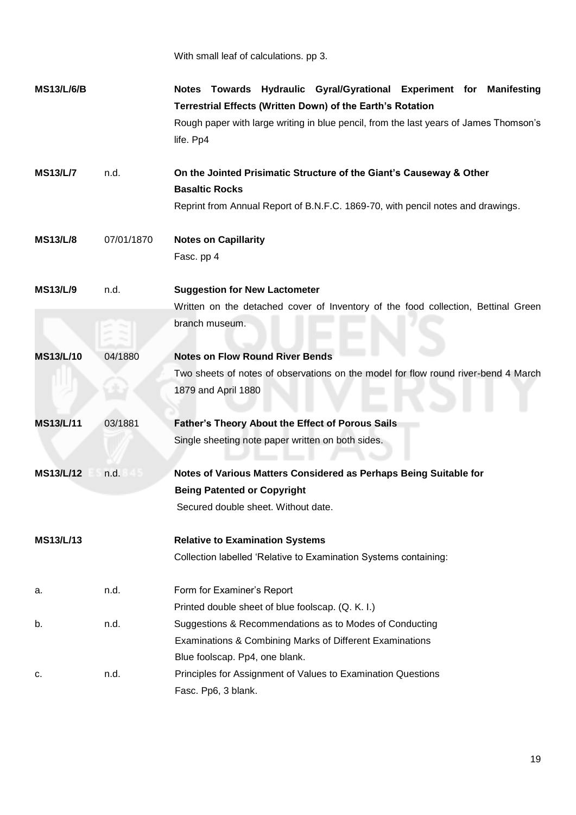|                   |            | With small leaf of calculations. pp 3.                                                                                            |
|-------------------|------------|-----------------------------------------------------------------------------------------------------------------------------------|
| <b>MS13/L/6/B</b> |            | Notes Towards Hydraulic Gyral/Gyrational Experiment for Manifesting<br>Terrestrial Effects (Written Down) of the Earth's Rotation |
|                   |            | Rough paper with large writing in blue pencil, from the last years of James Thomson's<br>life. Pp4                                |
| <b>MS13/L/7</b>   | n.d.       | On the Jointed Prisimatic Structure of the Giant's Causeway & Other<br><b>Basaltic Rocks</b>                                      |
|                   |            | Reprint from Annual Report of B.N.F.C. 1869-70, with pencil notes and drawings.                                                   |
| <b>MS13/L/8</b>   | 07/01/1870 | <b>Notes on Capillarity</b>                                                                                                       |
|                   |            | Fasc. pp 4                                                                                                                        |
| <b>MS13/L/9</b>   | n.d.       | <b>Suggestion for New Lactometer</b>                                                                                              |
|                   |            | Written on the detached cover of Inventory of the food collection, Bettinal Green                                                 |
|                   |            | branch museum.                                                                                                                    |
| <b>MS13/L/10</b>  | 04/1880    | <b>Notes on Flow Round River Bends</b>                                                                                            |
|                   |            | Two sheets of notes of observations on the model for flow round river-bend 4 March                                                |
|                   |            | 1879 and April 1880                                                                                                               |
| <b>MS13/L/11</b>  | 03/1881    | <b>Father's Theory About the Effect of Porous Sails</b>                                                                           |
|                   |            | Single sheeting note paper written on both sides.                                                                                 |
| <b>MS13/L/12</b>  | n.d.       | Notes of Various Matters Considered as Perhaps Being Suitable for                                                                 |
|                   |            | <b>Being Patented or Copyright</b>                                                                                                |
|                   |            | Secured double sheet. Without date.                                                                                               |
| <b>MS13/L/13</b>  |            | <b>Relative to Examination Systems</b>                                                                                            |
|                   |            | Collection labelled 'Relative to Examination Systems containing:                                                                  |
| а.                | n.d.       | Form for Examiner's Report                                                                                                        |
|                   |            | Printed double sheet of blue foolscap. (Q. K. I.)                                                                                 |
| b.                | n.d.       | Suggestions & Recommendations as to Modes of Conducting                                                                           |
|                   |            | Examinations & Combining Marks of Different Examinations                                                                          |
|                   |            | Blue foolscap. Pp4, one blank.                                                                                                    |
| c.                | n.d.       | Principles for Assignment of Values to Examination Questions                                                                      |
|                   |            | Fasc. Pp6, 3 blank.                                                                                                               |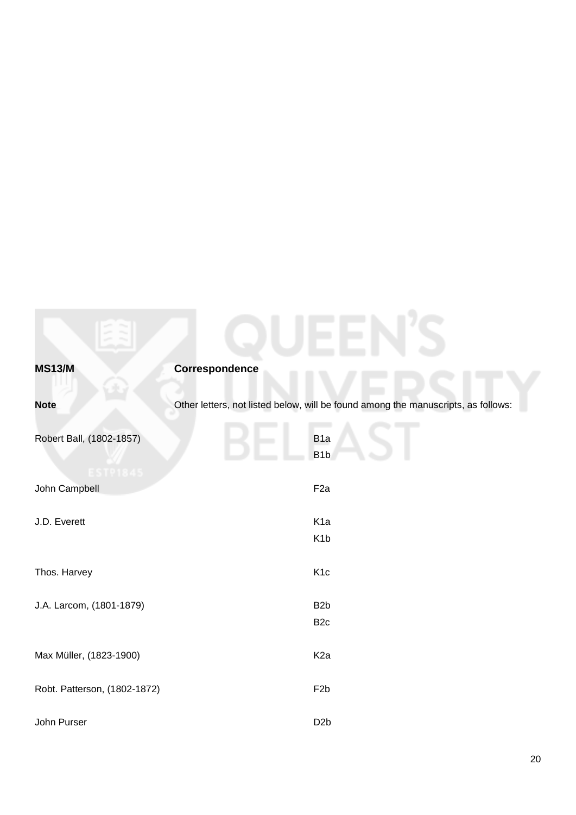<span id="page-19-0"></span>

| <b>MS13/M</b>                               | <b>Correspondence</b>                                                             |
|---------------------------------------------|-----------------------------------------------------------------------------------|
| <b>Note</b>                                 | Other letters, not listed below, will be found among the manuscripts, as follows: |
| Robert Ball, (1802-1857)<br><b>EST91845</b> | B <sub>1a</sub><br>B <sub>1</sub> b                                               |
| John Campbell                               | F <sub>2a</sub>                                                                   |
| J.D. Everett                                | K <sub>1a</sub><br>K <sub>1</sub> b                                               |
| Thos. Harvey                                | K <sub>1c</sub>                                                                   |
| J.A. Larcom, (1801-1879)                    | B <sub>2</sub> b<br>B <sub>2c</sub>                                               |
| Max Müller, (1823-1900)                     | K <sub>2a</sub>                                                                   |
| Robt. Patterson, (1802-1872)                | F <sub>2</sub> b                                                                  |
| John Purser                                 | D <sub>2</sub> b                                                                  |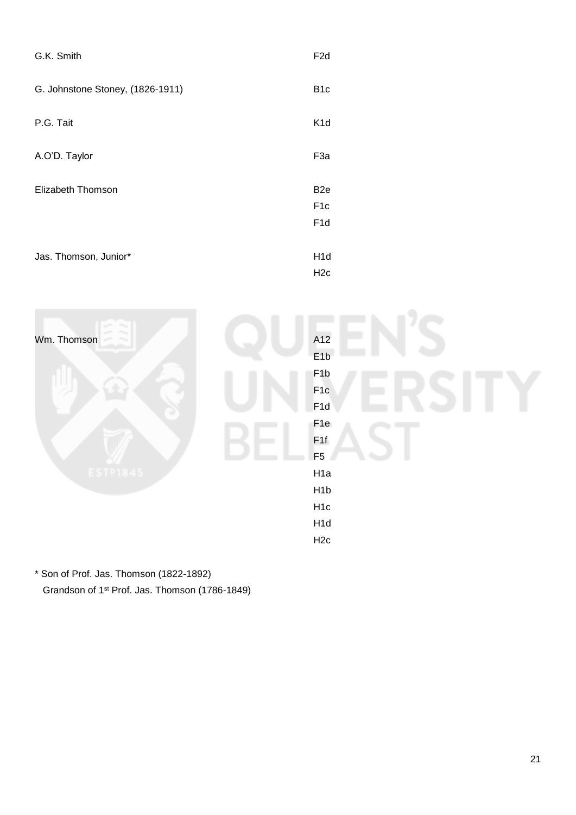| G.K. Smith                       | F <sub>2</sub> d                                       |
|----------------------------------|--------------------------------------------------------|
| G. Johnstone Stoney, (1826-1911) | B <sub>1</sub> c                                       |
| P.G. Tait                        | K <sub>1</sub> d                                       |
| A.O'D. Taylor                    | F <sub>3a</sub>                                        |
| Elizabeth Thomson                | B <sub>2e</sub><br>F <sub>1</sub> c<br>F <sub>1d</sub> |
| Jas. Thomson, Junior*            | H <sub>1</sub> d<br>H <sub>2c</sub>                    |



\* Son of Prof. Jas. Thomson (1822-1892) Grandson of 1st Prof. Jas. Thomson (1786-1849)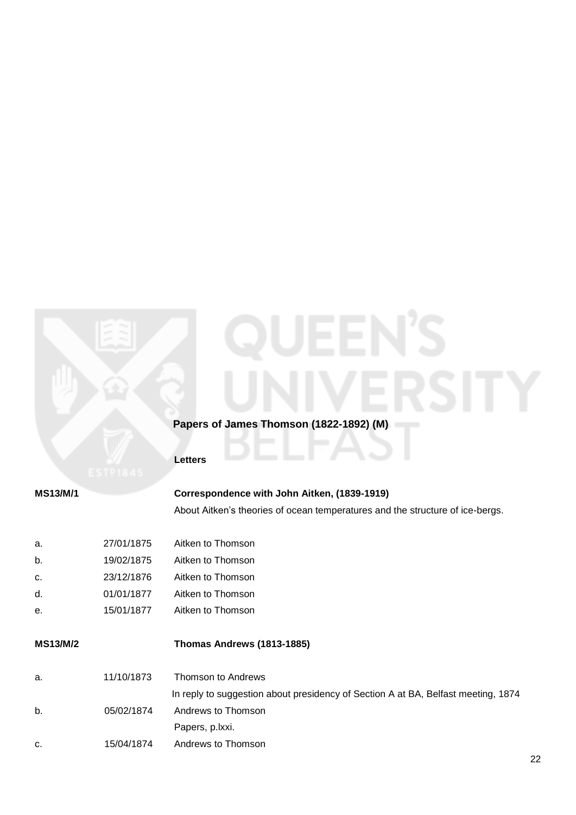# **Papers of James Thomson (1822-1892) (M)**

# **Letters**

| <b>MS13/M/1</b> | Correspondence with John Aitken, (1839-1919)                                  |
|-----------------|-------------------------------------------------------------------------------|
|                 | About Aitken's theories of ocean temperatures and the structure of ice-bergs. |
|                 |                                                                               |

| а. | 27/01/1875 | Aitken to Thomson |
|----|------------|-------------------|
| b. | 19/02/1875 | Aitken to Thomson |
| C. | 23/12/1876 | Aitken to Thomson |
| d. | 01/01/1877 | Aitken to Thomson |
| е. | 15/01/1877 | Aitken to Thomson |

# **MS13/M/2 Thomas Andrews (1813-1885)**

| a. | 11/10/1873 | Thomson to Andrews                                                                |
|----|------------|-----------------------------------------------------------------------------------|
|    |            | In reply to suggestion about presidency of Section A at BA, Belfast meeting, 1874 |
| b. | 05/02/1874 | Andrews to Thomson                                                                |
|    |            | Papers, p.lxxi.                                                                   |
| c. | 15/04/1874 | Andrews to Thomson                                                                |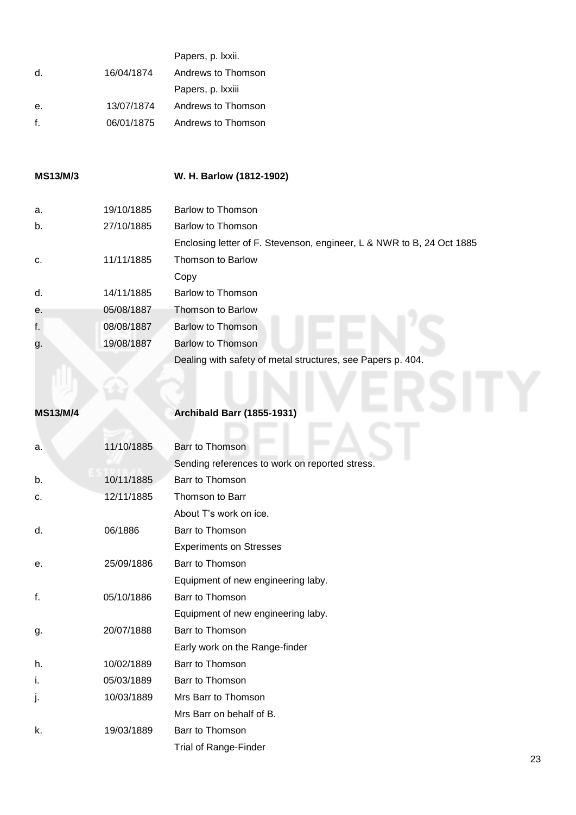|              |            | Papers, p. Ixxii.  |
|--------------|------------|--------------------|
| d.           | 16/04/1874 | Andrews to Thomson |
|              |            | Papers, p. Ixxiii  |
| е.           | 13/07/1874 | Andrews to Thomson |
| $\mathbf{f}$ | 06/01/1875 | Andrews to Thomson |
|              |            |                    |

## **MS13/M/3 W. H. Barlow (1812-1902)**

| a.              | 19/10/1885 | Barlow to Thomson                                                     |
|-----------------|------------|-----------------------------------------------------------------------|
| b.              | 27/10/1885 | Barlow to Thomson                                                     |
|                 |            | Enclosing letter of F. Stevenson, engineer, L & NWR to B, 24 Oct 1885 |
| C.              | 11/11/1885 | Thomson to Barlow                                                     |
|                 |            | Copy                                                                  |
| d.              | 14/11/1885 | Barlow to Thomson                                                     |
| е.              | 05/08/1887 | Thomson to Barlow                                                     |
| f.              | 08/08/1887 | <b>Barlow to Thomson</b>                                              |
| g.              | 19/08/1887 | Barlow to Thomson                                                     |
|                 |            | Dealing with safety of metal structures, see Papers p. 404.           |
|                 |            |                                                                       |
|                 |            |                                                                       |
| <b>MS13/M/4</b> |            | <b>Archibald Barr (1855-1931)</b>                                     |

# **MS13/M/4 Archibald Barr (1855-1931)**

| a. | 11/10/1885 | Barr to Thomson                                |
|----|------------|------------------------------------------------|
|    |            | Sending references to work on reported stress. |
| b. | 10/11/1885 | Barr to Thomson                                |
| c. | 12/11/1885 | Thomson to Barr                                |
|    |            | About T's work on ice.                         |
| d. | 06/1886    | Barr to Thomson                                |
|    |            | <b>Experiments on Stresses</b>                 |
| е. | 25/09/1886 | Barr to Thomson                                |
|    |            | Equipment of new engineering laby.             |
| f. | 05/10/1886 | Barr to Thomson                                |
|    |            | Equipment of new engineering laby.             |
| g. | 20/07/1888 | Barr to Thomson                                |
|    |            | Early work on the Range-finder                 |
| h. | 10/02/1889 | Barr to Thomson                                |
| i. | 05/03/1889 | Barr to Thomson                                |
| j. | 10/03/1889 | Mrs Barr to Thomson                            |
|    |            | Mrs Barr on behalf of B.                       |
| k. | 19/03/1889 | Barr to Thomson                                |
|    |            | <b>Trial of Range-Finder</b>                   |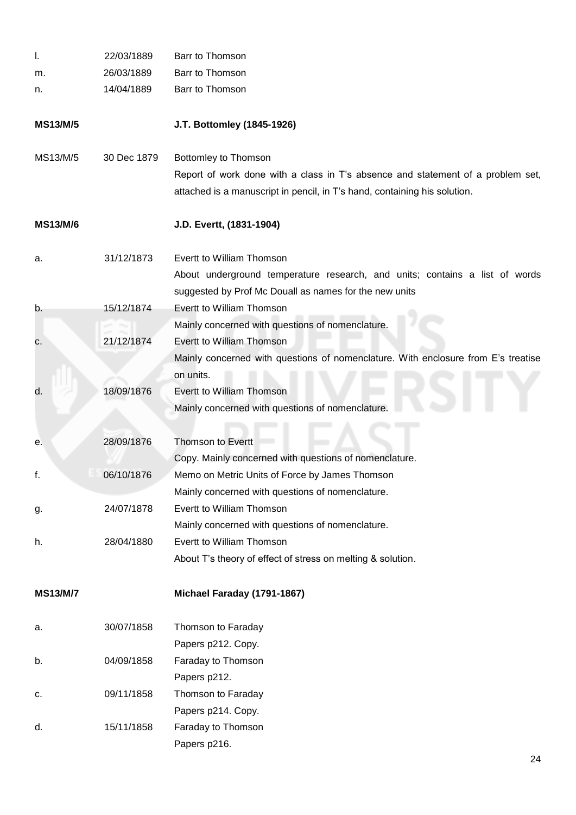| I.              | 22/03/1889  | Barr to Thomson                                                                   |
|-----------------|-------------|-----------------------------------------------------------------------------------|
| m.              | 26/03/1889  | Barr to Thomson                                                                   |
| n.              | 14/04/1889  | Barr to Thomson                                                                   |
| <b>MS13/M/5</b> |             | J.T. Bottomley (1845-1926)                                                        |
| MS13/M/5        | 30 Dec 1879 | Bottomley to Thomson                                                              |
|                 |             | Report of work done with a class in T's absence and statement of a problem set,   |
|                 |             | attached is a manuscript in pencil, in T's hand, containing his solution.         |
| <b>MS13/M/6</b> |             | J.D. Evertt, (1831-1904)                                                          |
| а.              | 31/12/1873  | Evertt to William Thomson                                                         |
|                 |             | About underground temperature research, and units; contains a list of words       |
|                 |             | suggested by Prof Mc Douall as names for the new units                            |
| b.              | 15/12/1874  | Evertt to William Thomson                                                         |
|                 |             | Mainly concerned with questions of nomenclature.                                  |
| c.              | 21/12/1874  | Evertt to William Thomson                                                         |
|                 |             | Mainly concerned with questions of nomenclature. With enclosure from E's treatise |
|                 |             | on units.                                                                         |
| d.              | 18/09/1876  | Evertt to William Thomson                                                         |
|                 |             | Mainly concerned with questions of nomenclature.                                  |
| е.              | 28/09/1876  | <b>Thomson to Evertt</b>                                                          |
|                 |             | Copy. Mainly concerned with questions of nomenclature.                            |
| f.              | 06/10/1876  | Memo on Metric Units of Force by James Thomson                                    |
|                 |             | Mainly concerned with questions of nomenclature.                                  |
| g.              | 24/07/1878  | Evertt to William Thomson                                                         |
|                 |             | Mainly concerned with questions of nomenclature.                                  |
| h.              | 28/04/1880  | Evertt to William Thomson                                                         |
|                 |             | About T's theory of effect of stress on melting & solution.                       |
| <b>MS13/M/7</b> |             | Michael Faraday (1791-1867)                                                       |
| а.              | 30/07/1858  | Thomson to Faraday                                                                |
|                 |             | Papers p212. Copy.                                                                |
| b.              | 04/09/1858  | Faraday to Thomson                                                                |
|                 |             | Papers p212.                                                                      |
| c.              | 09/11/1858  | Thomson to Faraday                                                                |
|                 |             | Papers p214. Copy.                                                                |
| d.              | 15/11/1858  | Faraday to Thomson                                                                |
|                 |             | Papers p216.                                                                      |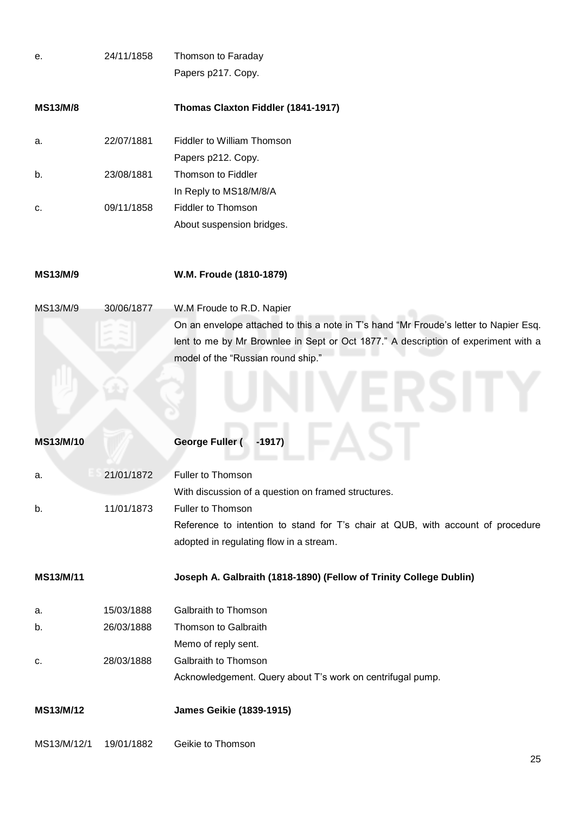| е.              | 24/11/1858 | Thomson to Faraday                                                                    |
|-----------------|------------|---------------------------------------------------------------------------------------|
|                 |            | Papers p217. Copy.                                                                    |
| <b>MS13/M/8</b> |            | Thomas Claxton Fiddler (1841-1917)                                                    |
| a.              | 22/07/1881 | Fiddler to William Thomson                                                            |
|                 |            | Papers p212. Copy.                                                                    |
| b.              | 23/08/1881 | Thomson to Fiddler                                                                    |
|                 |            | In Reply to MS18/M/8/A                                                                |
| c.              | 09/11/1858 | Fiddler to Thomson                                                                    |
|                 |            | About suspension bridges.                                                             |
| MS13/M/9        |            | W.M. Froude (1810-1879)                                                               |
| MS13/M/9        | 30/06/1877 | W.M Froude to R.D. Napier                                                             |
|                 |            | On an envelope attached to this a note in T's hand "Mr Froude's letter to Napier Esq. |
|                 |            | lent to me by Mr Brownlee in Sept or Oct 1877." A description of experiment with a    |
|                 |            | model of the "Russian round ship."                                                    |
|                 |            |                                                                                       |
| MS13/M/10       |            | George Fuller (<br>$-1917)$                                                           |
| a.              | 21/01/1872 | Fuller to Thomson                                                                     |
|                 |            | With discussion of a question on framed structures.                                   |
| b.              | 11/01/1873 | Fuller to Thomson                                                                     |
|                 |            | Reference to intention to stand for T's chair at QUB, with account of procedure       |
|                 |            | adopted in regulating flow in a stream.                                               |
| MS13/M/11       |            | Joseph A. Galbraith (1818-1890) (Fellow of Trinity College Dublin)                    |
| а.              | 15/03/1888 | Galbraith to Thomson                                                                  |
| b.              | 26/03/1888 | Thomson to Galbraith                                                                  |
|                 |            | Memo of reply sent.                                                                   |
| c.              | 28/03/1888 | Galbraith to Thomson                                                                  |
|                 |            | Acknowledgement. Query about T's work on centrifugal pump.                            |
| MS13/M/12       |            | <b>James Geikie (1839-1915)</b>                                                       |
| MS13/M/12/1     | 19/01/1882 | Geikie to Thomson                                                                     |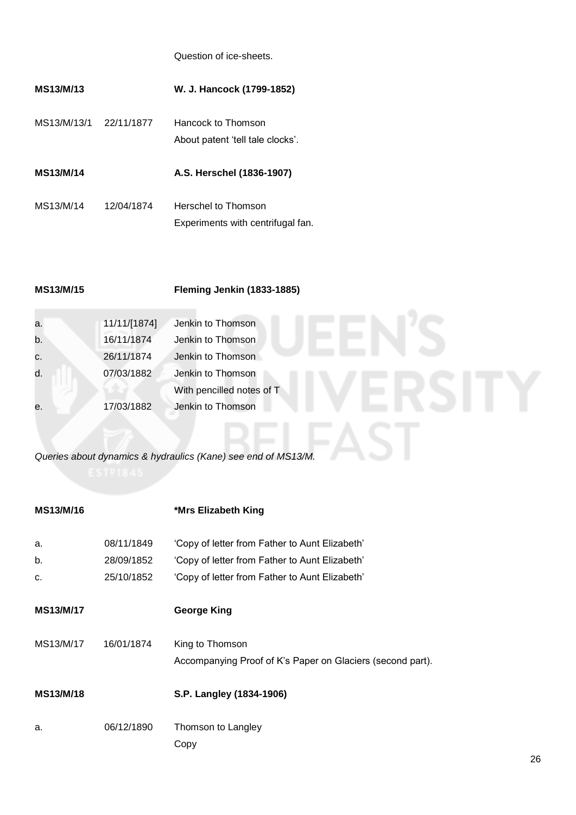Question of ice-sheets.

| MS13/M/13        |            | W. J. Hancock (1799-1852)                                |
|------------------|------------|----------------------------------------------------------|
| MS13/M/13/1      | 22/11/1877 | Hancock to Thomson<br>About patent 'tell tale clocks'.   |
| <b>MS13/M/14</b> |            | A.S. Herschel (1836-1907)                                |
| MS13/M/14        | 12/04/1874 | Herschel to Thomson<br>Experiments with centrifugal fan. |

|  | MS13/M/15 |  |  |  |
|--|-----------|--|--|--|
|--|-----------|--|--|--|

 $\sim$ 

**MS13/M/15 Fleming Jenkin (1833-1885)**

| a. | 11/11/[1874] | Jenkin to Thomson         |
|----|--------------|---------------------------|
| b. | 16/11/1874   | Jenkin to Thomson         |
| C. | 26/11/1874   | Jenkin to Thomson         |
| d. | 07/03/1882   | Jenkin to Thomson         |
|    |              | With pencilled notes of T |
| е. | 17/03/1882   | Jenkin to Thomson         |
|    |              |                           |
|    |              |                           |

*Queries about dynamics & hydraulics (Kane) see end of MS13/M.*

| MS13/M/16        |                                        | *Mrs Elizabeth King                                                                                                                                |
|------------------|----------------------------------------|----------------------------------------------------------------------------------------------------------------------------------------------------|
| a.<br>b.<br>c.   | 08/11/1849<br>28/09/1852<br>25/10/1852 | 'Copy of letter from Father to Aunt Elizabeth'<br>'Copy of letter from Father to Aunt Elizabeth'<br>'Copy of letter from Father to Aunt Elizabeth' |
| <b>MS13/M/17</b> |                                        | <b>George King</b>                                                                                                                                 |
| MS13/M/17        | 16/01/1874                             | King to Thomson<br>Accompanying Proof of K's Paper on Glaciers (second part).                                                                      |
| <b>MS13/M/18</b> |                                        | S.P. Langley (1834-1906)                                                                                                                           |
| a.               | 06/12/1890                             | Thomson to Langley<br>Copy                                                                                                                         |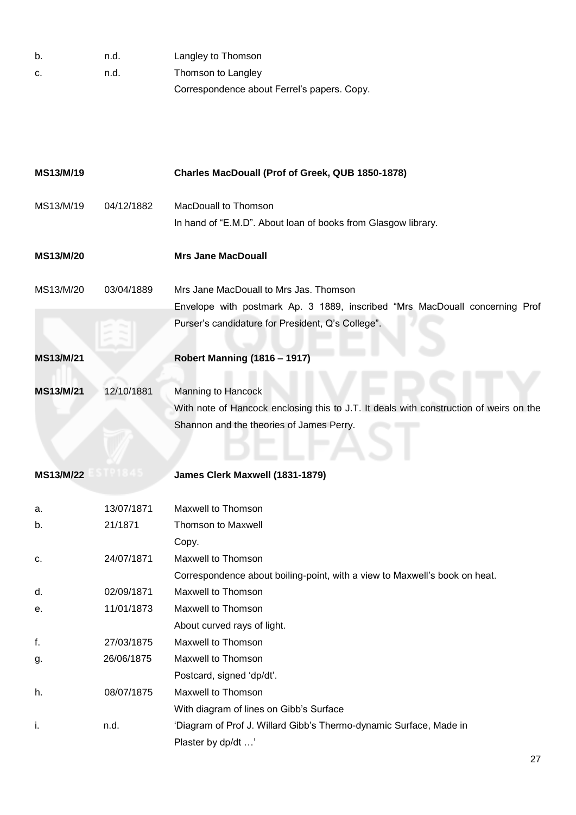| b. | n.d. | Langley to Thomson                          |
|----|------|---------------------------------------------|
| C. | n.d. | Thomson to Langley                          |
|    |      | Correspondence about Ferrel's papers. Copy. |

| MS13/M/19 |            | Charles MacDouall (Prof of Greek, QUB 1850-1878)                                       |
|-----------|------------|----------------------------------------------------------------------------------------|
| MS13/M/19 | 04/12/1882 | MacDouall to Thomson                                                                   |
|           |            | In hand of "E.M.D". About loan of books from Glasgow library.                          |
| MS13/M/20 |            | <b>Mrs Jane MacDouall</b>                                                              |
| MS13/M/20 | 03/04/1889 | Mrs Jane MacDouall to Mrs Jas. Thomson                                                 |
|           |            | Envelope with postmark Ap. 3 1889, inscribed "Mrs MacDouall concerning Prof            |
|           |            | Purser's candidature for President, Q's College".                                      |
| MS13/M/21 |            | <b>Robert Manning (1816 - 1917)</b>                                                    |
|           |            |                                                                                        |
| MS13/M/21 | 12/10/1881 | <b>Manning to Hancock</b>                                                              |
|           |            | With note of Hancock enclosing this to J.T. It deals with construction of weirs on the |
|           |            | Shannon and the theories of James Perry.                                               |
|           |            |                                                                                        |
|           |            |                                                                                        |
| MS13/M/22 |            | James Clerk Maxwell (1831-1879)                                                        |
| a.        | 13/07/1871 | Maxwell to Thomson                                                                     |
| b.        | 21/1871    | <b>Thomson to Maxwell</b>                                                              |
|           |            | Copy.                                                                                  |
| c.        | 24/07/1871 | Maxwell to Thomson                                                                     |
|           |            | Correspondence about boiling-point, with a view to Maxwell's book on heat.             |
| d.        | 02/09/1871 | Maxwell to Thomson                                                                     |
| е.        | 11/01/1873 | Maxwell to Thomson                                                                     |
|           |            | About curved rays of light.                                                            |
| f.        | 27/03/1875 | Maxwell to Thomson                                                                     |
| g.        | 26/06/1875 | Maxwell to Thomson                                                                     |
|           |            | Postcard, signed 'dp/dt'.                                                              |
| h.        | 08/07/1875 | Maxwell to Thomson                                                                     |
|           |            | With diagram of lines on Gibb's Surface                                                |
| j.        | n.d.       | 'Diagram of Prof J. Willard Gibb's Thermo-dynamic Surface, Made in                     |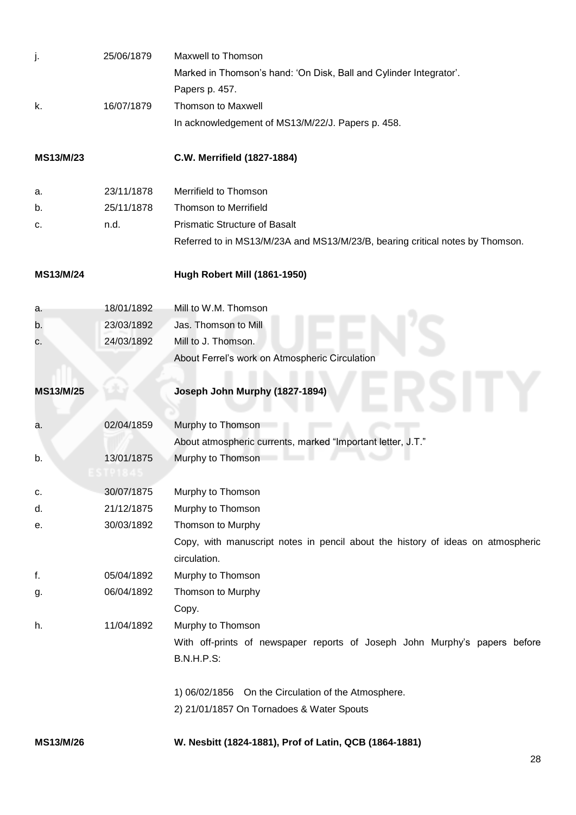| j.        | 25/06/1879 | Maxwell to Thomson                                                              |
|-----------|------------|---------------------------------------------------------------------------------|
|           |            | Marked in Thomson's hand: 'On Disk, Ball and Cylinder Integrator'.              |
|           |            | Papers p. 457.                                                                  |
| k.        | 16/07/1879 | <b>Thomson to Maxwell</b>                                                       |
|           |            | In acknowledgement of MS13/M/22/J. Papers p. 458.                               |
| MS13/M/23 |            | C.W. Merrifield (1827-1884)                                                     |
| a.        | 23/11/1878 | Merrifield to Thomson                                                           |
| b.        | 25/11/1878 | <b>Thomson to Merrifield</b>                                                    |
| c.        | n.d.       | <b>Prismatic Structure of Basalt</b>                                            |
|           |            | Referred to in MS13/M/23A and MS13/M/23/B, bearing critical notes by Thomson.   |
| MS13/M/24 |            | Hugh Robert Mill (1861-1950)                                                    |
| а.        | 18/01/1892 | Mill to W.M. Thomson                                                            |
| b.        | 23/03/1892 | Jas. Thomson to Mill                                                            |
| C.        | 24/03/1892 | Mill to J. Thomson.                                                             |
|           |            | About Ferrel's work on Atmospheric Circulation                                  |
| MS13/M/25 |            | Joseph John Murphy (1827-1894)                                                  |
| a.        | 02/04/1859 | Murphy to Thomson                                                               |
|           |            | About atmospheric currents, marked "Important letter, J.T."                     |
| b.        | 13/01/1875 | Murphy to Thomson                                                               |
|           |            |                                                                                 |
| c.        | 30/07/1875 | Murphy to Thomson                                                               |
| d.        | 21/12/1875 | Murphy to Thomson                                                               |
| е.        | 30/03/1892 | Thomson to Murphy                                                               |
|           |            | Copy, with manuscript notes in pencil about the history of ideas on atmospheric |
|           |            | circulation.                                                                    |
| f.        | 05/04/1892 | Murphy to Thomson                                                               |
| g.        | 06/04/1892 | Thomson to Murphy                                                               |
|           |            | Copy.                                                                           |
| h.        | 11/04/1892 | Murphy to Thomson                                                               |
|           |            | With off-prints of newspaper reports of Joseph John Murphy's papers before      |
|           |            | <b>B.N.H.P.S:</b>                                                               |
|           |            | 1) 06/02/1856 On the Circulation of the Atmosphere.                             |
|           |            | 2) 21/01/1857 On Tornadoes & Water Spouts                                       |
| MS13/M/26 |            | W. Nesbitt (1824-1881), Prof of Latin, QCB (1864-1881)                          |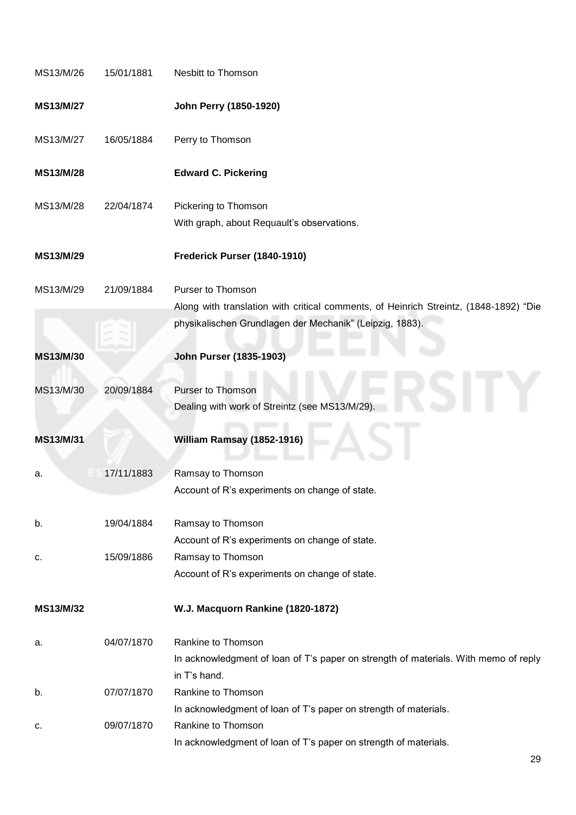| MS13/M/26 | 15/01/1881 | Nesbitt to Thomson                                                                                                                                |
|-----------|------------|---------------------------------------------------------------------------------------------------------------------------------------------------|
| MS13/M/27 |            | John Perry (1850-1920)                                                                                                                            |
| MS13/M/27 | 16/05/1884 | Perry to Thomson                                                                                                                                  |
| MS13/M/28 |            | <b>Edward C. Pickering</b>                                                                                                                        |
| MS13/M/28 | 22/04/1874 | Pickering to Thomson                                                                                                                              |
|           |            | With graph, about Requault's observations.                                                                                                        |
| MS13/M/29 |            | Frederick Purser (1840-1910)                                                                                                                      |
| MS13/M/29 | 21/09/1884 | Purser to Thomson                                                                                                                                 |
|           |            | Along with translation with critical comments, of Heinrich Streintz, (1848-1892) "Die<br>physikalischen Grundlagen der Mechanik" (Leipzig, 1883). |
|           |            |                                                                                                                                                   |
| MS13/M/30 |            | John Purser (1835-1903)                                                                                                                           |
| MS13/M/30 | 20/09/1884 | <b>Purser to Thomson</b>                                                                                                                          |
|           |            | Dealing with work of Streintz (see MS13/M/29).                                                                                                    |
| MS13/M/31 |            | William Ramsay (1852-1916)                                                                                                                        |
| а.        | 17/11/1883 | Ramsay to Thomson                                                                                                                                 |
|           |            | Account of R's experiments on change of state.                                                                                                    |
| b.        | 19/04/1884 | Ramsay to Thomson                                                                                                                                 |
|           |            | Account of R's experiments on change of state.                                                                                                    |
| c.        | 15/09/1886 | Ramsay to Thomson                                                                                                                                 |
|           |            | Account of R's experiments on change of state.                                                                                                    |
| MS13/M/32 |            | W.J. Macquorn Rankine (1820-1872)                                                                                                                 |
| а.        | 04/07/1870 | Rankine to Thomson                                                                                                                                |
|           |            | In acknowledgment of loan of T's paper on strength of materials. With memo of reply                                                               |
|           |            | in T's hand.                                                                                                                                      |
| b.        | 07/07/1870 | Rankine to Thomson                                                                                                                                |
|           |            | In acknowledgment of loan of T's paper on strength of materials.                                                                                  |
| c.        | 09/07/1870 | Rankine to Thomson                                                                                                                                |
|           |            | In acknowledgment of loan of T's paper on strength of materials.                                                                                  |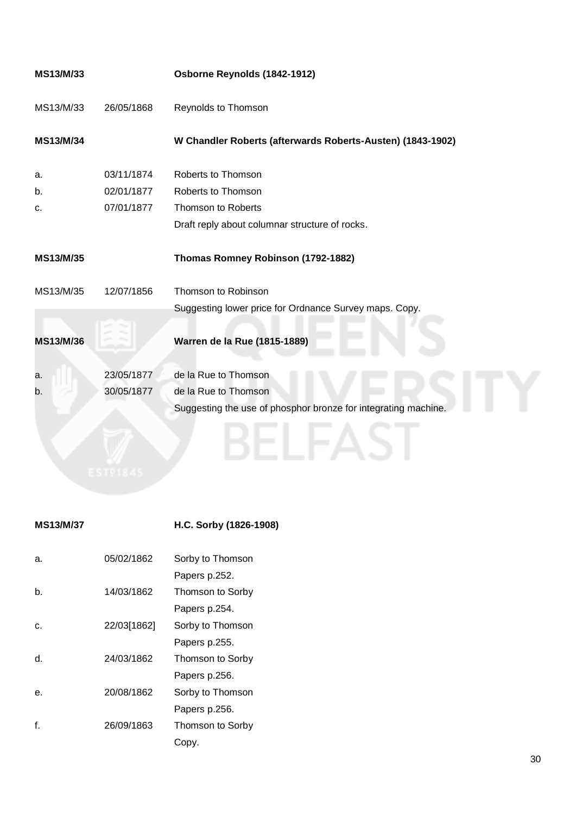|            | Osborne Reynolds (1842-1912)                                   |
|------------|----------------------------------------------------------------|
| 26/05/1868 | Reynolds to Thomson                                            |
|            | W Chandler Roberts (afterwards Roberts-Austen) (1843-1902)     |
| 03/11/1874 | Roberts to Thomson                                             |
| 02/01/1877 | Roberts to Thomson                                             |
| 07/01/1877 | Thomson to Roberts                                             |
|            | Draft reply about columnar structure of rocks.                 |
|            | Thomas Romney Robinson (1792-1882)                             |
| 12/07/1856 | Thomson to Robinson                                            |
|            | Suggesting lower price for Ordnance Survey maps. Copy.         |
|            | Warren de la Rue (1815-1889)                                   |
| 23/05/1877 | de la Rue to Thomson                                           |
| 30/05/1877 | de la Rue to Thomson                                           |
|            | Suggesting the use of phosphor bronze for integrating machine. |
|            |                                                                |

## **MS13/M/37 H.C. Sorby (1826-1908)**

| a. | 05/02/1862  | Sorby to Thomson |
|----|-------------|------------------|
|    |             | Papers p.252.    |
| b. | 14/03/1862  | Thomson to Sorby |
|    |             | Papers p.254.    |
| C. | 22/03[1862] | Sorby to Thomson |
|    |             | Papers p.255.    |
| d. | 24/03/1862  | Thomson to Sorby |
|    |             | Papers p.256.    |
| е. | 20/08/1862  | Sorby to Thomson |
|    |             | Papers p.256.    |
|    | 26/09/1863  | Thomson to Sorby |
|    |             | Copy.            |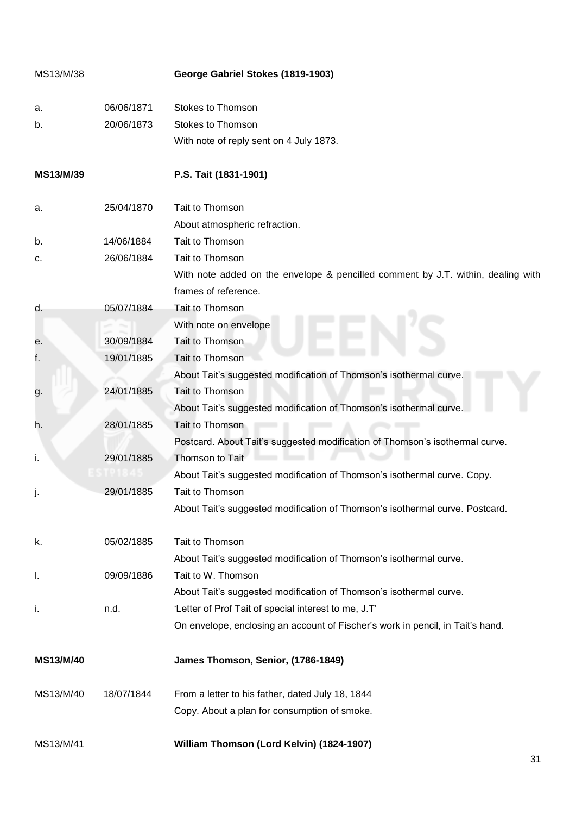| MS13/M/38 |            | George Gabriel Stokes (1819-1903)                                                |
|-----------|------------|----------------------------------------------------------------------------------|
| а.        | 06/06/1871 | Stokes to Thomson                                                                |
| b.        | 20/06/1873 | <b>Stokes to Thomson</b>                                                         |
|           |            | With note of reply sent on 4 July 1873.                                          |
| MS13/M/39 |            | P.S. Tait (1831-1901)                                                            |
| a.        | 25/04/1870 | Tait to Thomson                                                                  |
|           |            | About atmospheric refraction.                                                    |
| b.        | 14/06/1884 | Tait to Thomson                                                                  |
| c.        | 26/06/1884 | Tait to Thomson                                                                  |
|           |            | With note added on the envelope & pencilled comment by J.T. within, dealing with |
|           |            | frames of reference.                                                             |
| d.        | 05/07/1884 | Tait to Thomson                                                                  |
|           |            | With note on envelope                                                            |
| е.        | 30/09/1884 | Tait to Thomson                                                                  |
| f.        | 19/01/1885 | Tait to Thomson                                                                  |
|           |            | About Tait's suggested modification of Thomson's isothermal curve.               |
| g.        | 24/01/1885 | Tait to Thomson                                                                  |
|           |            | About Tait's suggested modification of Thomson's isothermal curve.               |
| h.        | 28/01/1885 | Tait to Thomson                                                                  |
|           |            | Postcard. About Tait's suggested modification of Thomson's isothermal curve.     |
| i.        | 29/01/1885 | Thomson to Tait                                                                  |
|           |            | About Tait's suggested modification of Thomson's isothermal curve. Copy.         |
| J.        | 29/01/1885 | Tait to Thomson                                                                  |
|           |            | About Tait's suggested modification of Thomson's isothermal curve. Postcard.     |
| k.        | 05/02/1885 | Tait to Thomson                                                                  |
|           |            | About Tait's suggested modification of Thomson's isothermal curve.               |
| I.        | 09/09/1886 | Tait to W. Thomson                                                               |
|           |            | About Tait's suggested modification of Thomson's isothermal curve.               |
| j,        | n.d.       | 'Letter of Prof Tait of special interest to me, J.T'                             |
|           |            | On envelope, enclosing an account of Fischer's work in pencil, in Tait's hand.   |
| MS13/M/40 |            | James Thomson, Senior, (1786-1849)                                               |
| MS13/M/40 | 18/07/1844 | From a letter to his father, dated July 18, 1844                                 |
|           |            | Copy. About a plan for consumption of smoke.                                     |
| MS13/M/41 |            | William Thomson (Lord Kelvin) (1824-1907)                                        |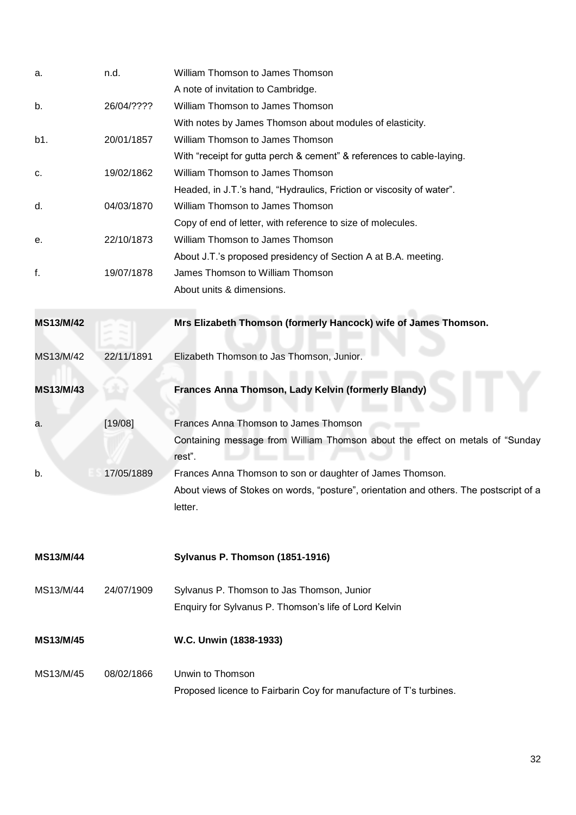| a.               | n.d.       | William Thomson to James Thomson                                                                  |
|------------------|------------|---------------------------------------------------------------------------------------------------|
|                  |            | A note of invitation to Cambridge.                                                                |
| b.               | 26/04/???? | William Thomson to James Thomson                                                                  |
|                  |            | With notes by James Thomson about modules of elasticity.                                          |
| b1.              | 20/01/1857 | William Thomson to James Thomson                                                                  |
|                  |            | With "receipt for gutta perch & cement" & references to cable-laying.                             |
| c.               | 19/02/1862 | William Thomson to James Thomson                                                                  |
|                  |            | Headed, in J.T.'s hand, "Hydraulics, Friction or viscosity of water".                             |
| d.               | 04/03/1870 | William Thomson to James Thomson                                                                  |
|                  |            | Copy of end of letter, with reference to size of molecules.                                       |
| е.               | 22/10/1873 | William Thomson to James Thomson                                                                  |
|                  |            | About J.T.'s proposed presidency of Section A at B.A. meeting.                                    |
| f.               | 19/07/1878 | James Thomson to William Thomson                                                                  |
|                  |            | About units & dimensions.                                                                         |
| MS13/M/42        |            | Mrs Elizabeth Thomson (formerly Hancock) wife of James Thomson.                                   |
|                  |            |                                                                                                   |
| MS13/M/42        | 22/11/1891 | Elizabeth Thomson to Jas Thomson, Junior.                                                         |
|                  |            |                                                                                                   |
|                  |            |                                                                                                   |
| MS13/M/43        |            | Frances Anna Thomson, Lady Kelvin (formerly Blandy)                                               |
| a.               | [19/08]    | Frances Anna Thomson to James Thomson                                                             |
|                  |            | Containing message from William Thomson about the effect on metals of "Sunday<br>rest".           |
| b.               | 17/05/1889 | Frances Anna Thomson to son or daughter of James Thomson.                                         |
|                  |            | About views of Stokes on words, "posture", orientation and others. The postscript of a<br>letter. |
| <b>MS13/M/44</b> |            | Sylvanus P. Thomson (1851-1916)                                                                   |
| MS13/M/44        | 24/07/1909 | Sylvanus P. Thomson to Jas Thomson, Junior                                                        |
|                  |            | Enquiry for Sylvanus P. Thomson's life of Lord Kelvin                                             |
| <b>MS13/M/45</b> |            | W.C. Unwin (1838-1933)                                                                            |
| MS13/M/45        | 08/02/1866 | Unwin to Thomson                                                                                  |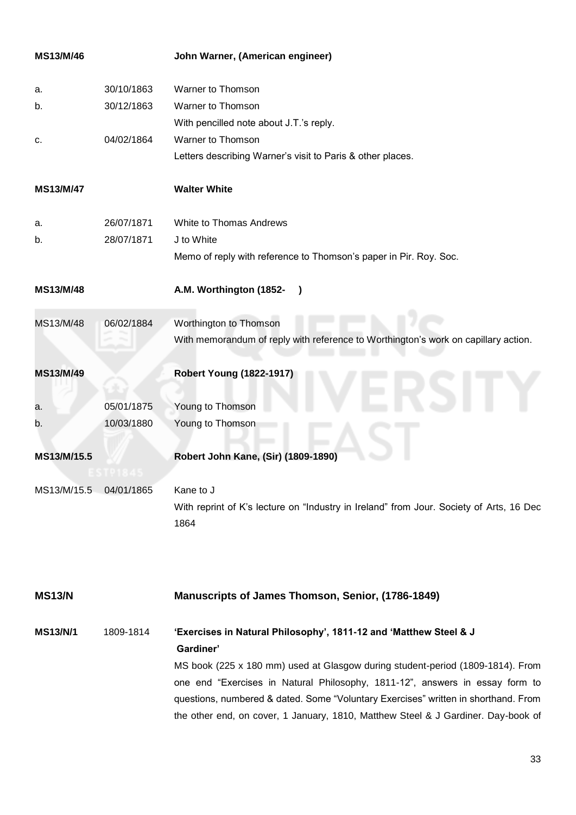<span id="page-32-0"></span>

| MS13/M/46              |            | John Warner, (American engineer)                                                                                                                                                                                                                                                                                                          |
|------------------------|------------|-------------------------------------------------------------------------------------------------------------------------------------------------------------------------------------------------------------------------------------------------------------------------------------------------------------------------------------------|
| a.                     | 30/10/1863 | Warner to Thomson                                                                                                                                                                                                                                                                                                                         |
| b.                     | 30/12/1863 | Warner to Thomson                                                                                                                                                                                                                                                                                                                         |
|                        |            | With pencilled note about J.T.'s reply.                                                                                                                                                                                                                                                                                                   |
| c.                     | 04/02/1864 | Warner to Thomson                                                                                                                                                                                                                                                                                                                         |
|                        |            | Letters describing Warner's visit to Paris & other places.                                                                                                                                                                                                                                                                                |
| MS13/M/47              |            | <b>Walter White</b>                                                                                                                                                                                                                                                                                                                       |
| a.                     | 26/07/1871 | White to Thomas Andrews                                                                                                                                                                                                                                                                                                                   |
| b.                     | 28/07/1871 | J to White                                                                                                                                                                                                                                                                                                                                |
|                        |            | Memo of reply with reference to Thomson's paper in Pir. Roy. Soc.                                                                                                                                                                                                                                                                         |
| MS13/M/48              |            | A.M. Worthington (1852-<br>$\rightarrow$                                                                                                                                                                                                                                                                                                  |
| MS13/M/48              | 06/02/1884 | Worthington to Thomson                                                                                                                                                                                                                                                                                                                    |
|                        |            | With memorandum of reply with reference to Worthington's work on capillary action.                                                                                                                                                                                                                                                        |
| MS13/M/49              |            | <b>Robert Young (1822-1917)</b>                                                                                                                                                                                                                                                                                                           |
|                        |            |                                                                                                                                                                                                                                                                                                                                           |
| a.                     | 05/01/1875 | Young to Thomson                                                                                                                                                                                                                                                                                                                          |
| b.                     | 10/03/1880 | Young to Thomson                                                                                                                                                                                                                                                                                                                          |
| MS13/M/15.5            |            | Robert John Kane, (Sir) (1809-1890)                                                                                                                                                                                                                                                                                                       |
| MS13/M/15.5 04/01/1865 |            | Kane to J                                                                                                                                                                                                                                                                                                                                 |
|                        |            | With reprint of K's lecture on "Industry in Ireland" from Jour. Society of Arts, 16 Dec<br>1864                                                                                                                                                                                                                                           |
| <b>MS13/N</b>          |            | Manuscripts of James Thomson, Senior, (1786-1849)                                                                                                                                                                                                                                                                                         |
| <b>MS13/N/1</b>        | 1809-1814  | 'Exercises in Natural Philosophy', 1811-12 and 'Matthew Steel & J<br>Gardiner'                                                                                                                                                                                                                                                            |
|                        |            | MS book (225 x 180 mm) used at Glasgow during student-period (1809-1814). From<br>one end "Exercises in Natural Philosophy, 1811-12", answers in essay form to<br>questions, numbered & dated. Some "Voluntary Exercises" written in shorthand. From<br>the other end, on cover, 1 January, 1810, Matthew Steel & J Gardiner. Day-book of |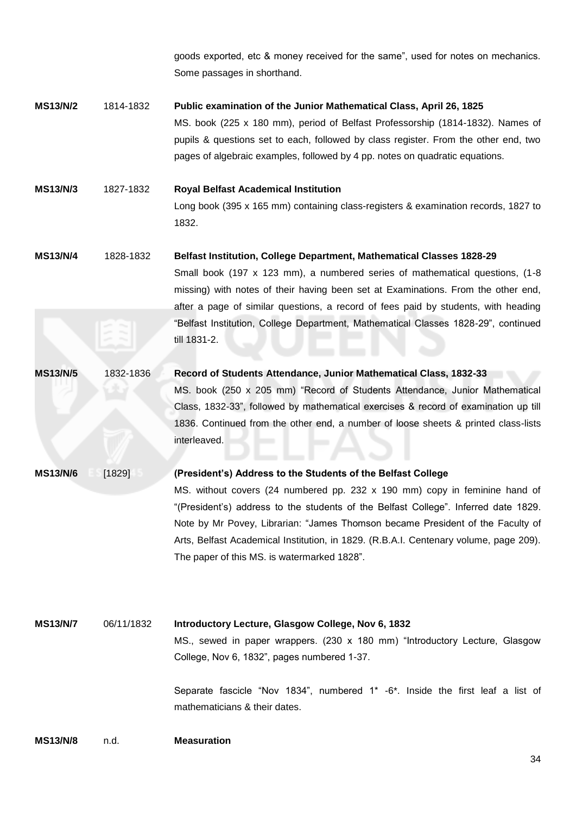goods exported, etc & money received for the same", used for notes on mechanics. Some passages in shorthand.

- **MS13/N/2** 1814-1832 **Public examination of the Junior Mathematical Class, April 26, 1825** MS. book (225 x 180 mm), period of Belfast Professorship (1814-1832). Names of pupils & questions set to each, followed by class register. From the other end, two pages of algebraic examples, followed by 4 pp. notes on quadratic equations.
- **MS13/N/3** 1827-1832 **Royal Belfast Academical Institution** Long book (395 x 165 mm) containing class-registers & examination records, 1827 to 1832.
- **MS13/N/4** 1828-1832 **Belfast Institution, College Department, Mathematical Classes 1828-29** Small book (197 x 123 mm), a numbered series of mathematical questions, (1-8 missing) with notes of their having been set at Examinations. From the other end, after a page of similar questions, a record of fees paid by students, with heading "Belfast Institution, College Department, Mathematical Classes 1828-29", continued

till 1831-2.

- **MS13/N/5** 1832-1836 **Record of Students Attendance, Junior Mathematical Class, 1832-33** MS. book (250 x 205 mm) "Record of Students Attendance, Junior Mathematical Class, 1832-33", followed by mathematical exercises & record of examination up till 1836. Continued from the other end, a number of loose sheets & printed class-lists interleaved. **MS13/N/6** [1829] **(President's) Address to the Students of the Belfast College**
	- MS. without covers (24 numbered pp. 232 x 190 mm) copy in feminine hand of "(President's) address to the students of the Belfast College". Inferred date 1829. Note by Mr Povey, Librarian: "James Thomson became President of the Faculty of Arts, Belfast Academical Institution, in 1829. (R.B.A.I. Centenary volume, page 209). The paper of this MS. is watermarked 1828".

**MS13/N/7** 06/11/1832 **Introductory Lecture, Glasgow College, Nov 6, 1832** MS., sewed in paper wrappers. (230 x 180 mm) "Introductory Lecture, Glasgow College, Nov 6, 1832", pages numbered 1-37.

> Separate fascicle "Nov 1834", numbered 1\* -6\*. Inside the first leaf a list of mathematicians & their dates

**MS13/N/8** n.d. **Measuration**